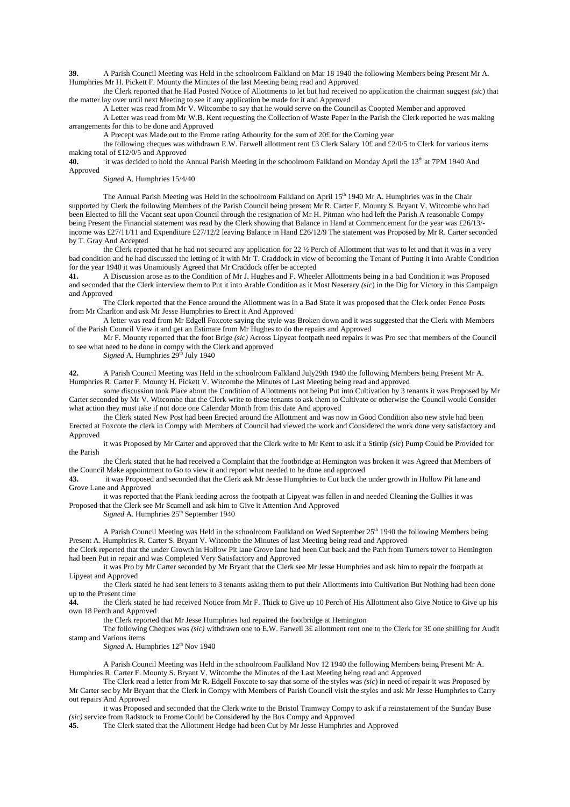**39.** A Parish Council Meeting was Held in the schoolroom Falkland on Mar 18 1940 the following Members being Present Mr A. Humphries Mr H. Pickett F. Mounty the Minutes of the last Meeting being read and Approved

the Clerk reported that he Had Posted Notice of Allottments to let but had received no application the chairman suggest *(sic*) that the matter lay over until next Meeting to see if any application be made for it and Approved

A Letter was read from Mr V. Witcombe to say that he would serve on the Council as Coopted Member and approved

A Letter was read from Mr W.B. Kent requesting the Collection of Waste Paper in the Parish the Clerk reported he was making arrangements for this to be done and Approved

A Precept was Made out to the Frome rating Athourity for the sum of 20£ for the Coming year

the following cheques was withdrawn E.W. Farwell allottment rent £3 Clerk Salary 10£ and £2/0/5 to Clerk for various items making total of £12/0/5 and Approved **40**. it was decided to hold the  $\ell$ 

it was decided to hold the Annual Parish Meeting in the schoolroom Falkland on Monday April the 13<sup>th</sup> at 7PM 1940 And Approved

*Signed* A. Humphries 15/4/40

The Annual Parish Meeting was Held in the schoolroom Falkland on April  $15<sup>th</sup> 1940$  Mr A. Humphries was in the Chair supported by Clerk the following Members of the Parish Council being present Mr R. Carter F. Mounty S. Bryant V. Witcombe who had been Elected to fill the Vacant seat upon Council through the resignation of Mr H. Pitman who had left the Parish A reasonable Compy being Present the Financial statement was read by the Clerk showing that Balance in Hand at Commencement for the year was £26/13/income was £27/11/11 and Expenditure £27/12/2 leaving Balance in Hand £26/12/9 The statement was Proposed by Mr R. Carter seconded by T. Gray And Accepted

the Clerk reported that he had not secured any application for 22 ½ Perch of Allottment that was to let and that it was in a very bad condition and he had discussed the letting of it with Mr T. Craddock in view of becoming the Tenant of Putting it into Arable Condition for the year 1940 it was Unamiously Agreed that Mr Craddock offer be accepted

**41.** A Discussion arose as to the Condition of Mr J. Hughes and F. Wheeler Allottments being in a bad Condition it was Proposed and seconded that the Clerk interview them to Put it into Arable Condition as it Most Neserary *(sic*) in the Dig for Victory in this Campaign and Approved

The Clerk reported that the Fence around the Allottment was in a Bad State it was proposed that the Clerk order Fence Posts from Mr Charlton and ask Mr Jesse Humphries to Erect it And Approved

A letter was read from Mr Edgell Foxcote saying the style was Broken down and it was suggested that the Clerk with Members of the Parish Council View it and get an Estimate from Mr Hughes to do the repairs and Approved

Mr F. Mounty reported that the foot Brige *(sic)* Across Lipyeat footpath need repairs it was Pro sec that members of the Council to see what need to be done in compy with the Clerk and approved

*Signed* A. Humphries  $29<sup>th</sup>$  July 1940

**42.** A Parish Council Meeting was Held in the schoolroom Falkland July29th 1940 the following Members being Present Mr A. Humphries R. Carter F. Mounty H. Pickett V. Witcombe the Minutes of Last Meeting being read and approved

some discussion took Place about the Condition of Allottments not being Put into Cultivation by 3 tenants it was Proposed by Mr Carter seconded by Mr V. Witcombe that the Clerk write to these tenants to ask them to Cultivate or otherwise the Council would Consider what action they must take if not done one Calendar Month from this date And approved

the Clerk stated New Post had been Erected around the Allottment and was now in Good Condition also new style had been Erected at Foxcote the clerk in Compy with Members of Council had viewed the work and Considered the work done very satisfactory and Approved

it was Proposed by Mr Carter and approved that the Clerk write to Mr Kent to ask if a Stirrip *(sic*) Pump Could be Provided for the Parish

the Clerk stated that he had received a Complaint that the footbridge at Hemington was broken it was Agreed that Members of the Council Make appointment to Go to view it and report what needed to be done and approved

**43.** it was Proposed and seconded that the Clerk ask Mr Jesse Humphries to Cut back the under growth in Hollow Pit lane and Grove Lane and Approved

it was reported that the Plank leading across the footpath at Lipyeat was fallen in and needed Cleaning the Gullies it was Proposed that the Clerk see Mr Scamell and ask him to Give it Attention And Approved

*Signed* A. Humphries  $25<sup>th</sup>$  September 1940

A Parish Council Meeting was Held in the schoolroom Faulkland on Wed September 25<sup>th</sup> 1940 the following Members being Present A. Humphries R. Carter S. Bryant V. Witcombe the Minutes of last Meeting being read and Approved

the Clerk reported that the under Growth in Hollow Pit lane Grove lane had been Cut back and the Path from Turners tower to Hemington had been Put in repair and was Completed Very Satisfactory and Approved

it was Pro by Mr Carter seconded by Mr Bryant that the Clerk see Mr Jesse Humphries and ask him to repair the footpath at Lipyeat and Approved

the Clerk stated he had sent letters to 3 tenants asking them to put their Allottments into Cultivation But Nothing had been done up to the Present time

**44.** the Clerk stated he had received Notice from Mr F. Thick to Give up 10 Perch of His Allottment also Give Notice to Give up his own 18 Perch and Approved

the Clerk reported that Mr Jesse Humphries had repaired the footbridge at Hemington

The following Cheques was *(sic)* withdrawn one to E.W. Farwell 3£ allottment rent one to the Clerk for 3£ one shilling for Audit stamp and Various items

*Signed* A. Humphries  $12<sup>th</sup>$  Nov 1940

A Parish Council Meeting was Held in the schoolroom Faulkland Nov 12 1940 the following Members being Present Mr A. Humphries R. Carter F. Mounty S. Bryant V. Witcombe the Minutes of the Last Meeting being read and Approved

The Clerk read a letter from Mr R. Edgell Foxcote to say that some of the styles was *(sic*) in need of repair it was Proposed by Mr Carter sec by Mr Bryant that the Clerk in Compy with Members of Parish Council visit the styles and ask Mr Jesse Humphries to Carry out repairs And Approved

it was Proposed and seconded that the Clerk write to the Bristol Tramway Compy to ask if a reinstatement of the Sunday Buse *(sic)* service from Radstock to Frome Could be Considered by the Bus Compy and Approved

**45.** The Clerk stated that the Allottment Hedge had been Cut by Mr Jesse Humphries and Approved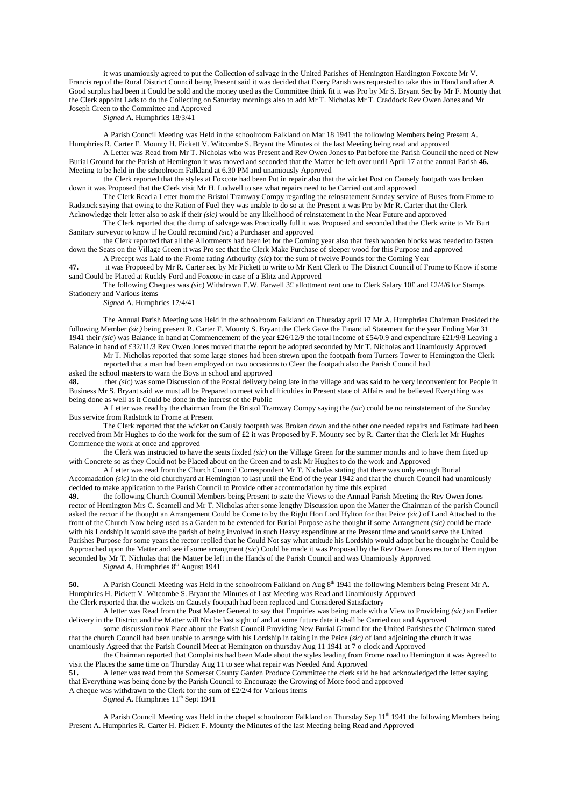it was unamiously agreed to put the Collection of salvage in the United Parishes of Hemington Hardington Foxcote Mr V. Francis rep of the Rural District Council being Present said it was decided that Every Parish was requested to take this in Hand and after A Good surplus had been it Could be sold and the money used as the Committee think fit it was Pro by Mr S. Bryant Sec by Mr F. Mounty that the Clerk appoint Lads to do the Collecting on Saturday mornings also to add Mr T. Nicholas Mr T. Craddock Rev Owen Jones and Mr Joseph Green to the Committee and Approved

*Signed* A. Humphries 18/3/41

A Parish Council Meeting was Held in the schoolroom Falkland on Mar 18 1941 the following Members being Present A. Humphries R. Carter F. Mounty H. Pickett V. Witcombe S. Bryant the Minutes of the last Meeting being read and approved

A Letter was Read from Mr T. Nicholas who was Present and Rev Owen Jones to Put before the Parish Council the need of New Burial Ground for the Parish of Hemington it was moved and seconded that the Matter be left over until April 17 at the annual Parish **46.** Meeting to be held in the schoolroom Falkland at 6.30 PM and unamiously Approved

the Clerk reported that the styles at Foxcote had been Put in repair also that the wicket Post on Causely footpath was broken down it was Proposed that the Clerk visit Mr H. Ludwell to see what repairs need to be Carried out and approved

The Clerk Read a Letter from the Bristol Tramway Compy regarding the reinstatement Sunday service of Buses from Frome to Radstock saying that owing to the Ration of Fuel they was unable to do so at the Present it was Pro by Mr R. Carter that the Clerk Acknowledge their letter also to ask if their *(sic)* would be any likelihood of reinstatement in the Near Future and approved

The Clerk reported that the dump of salvage was Practically full it was Proposed and seconded that the Clerk write to Mr Burt Sanitary surveyor to know if he Could recomind *(sic*) a Purchaser and approved

the Clerk reported that all the Allottments had been let for the Coming year also that fresh wooden blocks was needed to fasten down the Seats on the Village Green it was Pro sec that the Clerk Make Purchase of sleeper wood for this Purpose and approved A Precept was Laid to the Frome rating Athourity *(sic*) for the sum of twelve Pounds for the Coming Year

**47.** it was Proposed by Mr R. Carter sec by Mr Pickett to write to Mr Kent Clerk to The District Council of Frome to Know if some

sand Could be Placed at Ruckly Ford and Foxcote in case of a Blitz and Approved The following Cheques was *(sic*) Withdrawn E.W. Farwell 3£ allottment rent one to Clerk Salary 10£ and £2/4/6 for Stamps Stationery and Various items

*Signed* A. Humphries 17/4/41

The Annual Parish Meeting was Held in the schoolroom Falkland on Thursday april 17 Mr A. Humphries Chairman Presided the following Member *(sic)* being present R. Carter F. Mounty S. Bryant the Clerk Gave the Financial Statement for the year Ending Mar 31 1941 their *(sic*) was Balance in hand at Commencement of the year £26/12/9 the total income of £54/0.9 and expenditure £21/9/8 Leaving a Balance in hand of £32/11/3 Rev Owen Jones moved that the report be adopted seconded by Mr T. Nicholas and Unamiously Approved

Mr T. Nicholas reported that some large stones had been strewn upon the footpath from Turners Tower to Hemington the Clerk reported that a man had been employed on two occasions to Clear the footpath also the Parish Council had

asked the school masters to warn the Boys in school and approved

**48. ther** *(sic)* was some Discussion of the Postal delivery being late in the village and was said to be very inconvenient for People in Business Mr S. Bryant said we must all be Prepared to meet with difficulties in Present state of Affairs and he believed Everything was being done as well as it Could be done in the interest of the Public

A Letter was read by the chairman from the Bristol Tramway Compy saying the *(sic*) could be no reinstatement of the Sunday Bus service from Radstock to Frome at Present

The Clerk reported that the wicket on Causly footpath was Broken down and the other one needed repairs and Estimate had been received from Mr Hughes to do the work for the sum of £2 it was Proposed by F. Mounty sec by R. Carter that the Clerk let Mr Hughes Commence the work at once and approved

the Clerk was instructed to have the seats fixded *(sic)* on the Village Green for the summer months and to have them fixed up with Concrete so as they Could not be Placed about on the Green and to ask Mr Hughes to do the work and Approved

A Letter was read from the Church Council Correspondent Mr T. Nicholas stating that there was only enough Burial Accomadation *(sic)* in the old churchyard at Hemington to last until the End of the year 1942 and that the church Council had unamiously decided to make application to the Parish Council to Provide other accommodation by time this expired

**49.** the following Church Council Members being Present to state the Views to the Annual Parish Meeting the Rev Owen Jones rector of Hemington Mrs C. Scamell and Mr T. Nicholas after some lengthy Discussion upon the Matter the Chairman of the parish Council asked the rector if he thought an Arrangement Could be Come to by the Right Hon Lord Hylton for that Peice *(sic)* of Land Attached to the front of the Church Now being used as a Garden to be extended for Burial Purpose as he thought if some Arrangment *(sic)* could be made with his Lordship it would save the parish of being involved in such Heavy expenditure at the Present time and would serve the United Parishes Purpose for some years the rector replied that he Could Not say what attitude his Lordship would adopt but he thought he Could be Approached upon the Matter and see if some arrangment *(sic*) Could be made it was Proposed by the Rev Owen Jones rector of Hemington seconded by Mr T. Nicholas that the Matter be left in the Hands of the Parish Council and was Unamiously Approved

*Signed* A. Humphries  $8<sup>th</sup>$  August 1941

**50.** A Parish Council Meeting was Held in the schoolroom Falkland on Aug 8<sup>th</sup> 1941 the following Members being Present Mr A. Humphries H. Pickett V. Witcombe S. Bryant the Minutes of Last Meeting was Read and Unamiously Approved the Clerk reported that the wickets on Causely footpath had been replaced and Considered Satisfactory

A letter was Read from the Post Master General to say that Enquiries was being made with a View to Provideing *(sic)* an Earlier delivery in the District and the Matter will Not be lost sight of and at some future date it shall be Carried out and Approved

some discussion took Place about the Parish Council Providing New Burial Ground for the United Parishes the Chairman stated that the church Council had been unable to arrange with his Lordship in taking in the Peice *(sic)* of land adjoining the church it was unamiously Agreed that the Parish Council Meet at Hemington on thursday Aug 11 1941 at 7 o clock and Approved

the Chairman reported that Complaints had been Made about the styles leading from Frome road to Hemington it was Agreed to visit the Places the same time on Thursday Aug 11 to see what repair was Needed And Approved

**51.** A letter was read from the Somerset County Garden Produce Committee the clerk said he had acknowledged the letter saying that Everything was being done by the Parish Council to Encourage the Growing of More food and approved

A cheque was withdrawn to the Clerk for the sum of £2/2/4 for Various items

*Signed* A. Humphries  $11<sup>th</sup>$  Sept 1941

A Parish Council Meeting was Held in the chapel schoolroom Falkland on Thursday Sep  $11<sup>th</sup>$  1941 the following Members being Present A. Humphries R. Carter H. Pickett F. Mounty the Minutes of the last Meeting being Read and Approved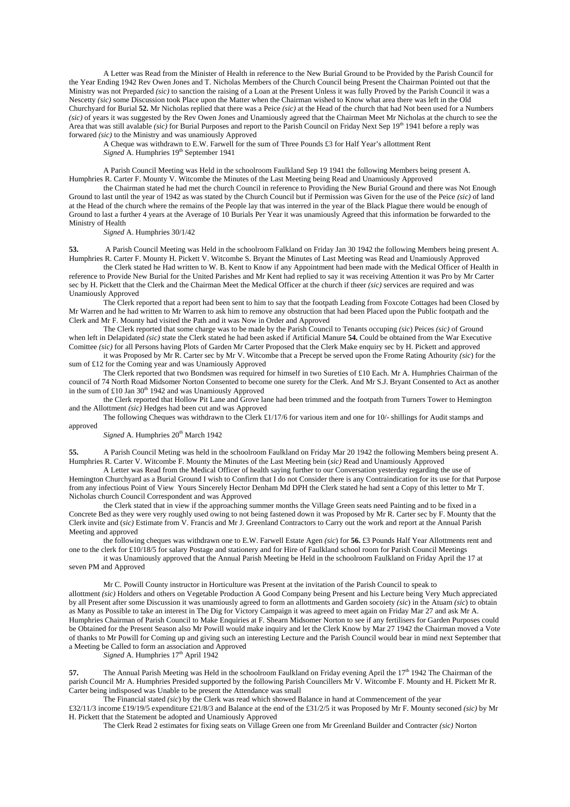A Letter was Read from the Minister of Health in reference to the New Burial Ground to be Provided by the Parish Council for the Year Ending 1942 Rev Owen Jones and T. Nicholas Members of the Church Council being Present the Chairman Pointed out that the Ministry was not Preparded *(sic)* to sanction the raising of a Loan at the Present Unless it was fully Proved by the Parish Council it was a Nescetty *(sic)* some Discussion took Place upon the Matter when the Chairman wished to Know what area there was left in the Old Churchyard for Burial **52.** Mr Nicholas replied that there was a Peice *(sic)* at the Head of the church that had Not been used for a Numbers *(sic)* of years it was suggested by the Rev Owen Jones and Unamiously agreed that the Chairman Meet Mr Nicholas at the church to see the Area that was still avalable *(sic)* for Burial Purposes and report to the Parish Council on Friday Next Sep 19<sup>th</sup> 1941 before a reply was forwared *(sic)* to the Ministry and was unamiously Approved

A Cheque was withdrawn to E.W. Farwell for the sum of Three Pounds £3 for Half Year's allottment Rent *Signed* A. Humphries  $19<sup>th</sup>$  September 1941

A Parish Council Meeting was Held in the schoolroom Faulkland Sep 19 1941 the following Members being present A. Humphries R. Carter F. Mounty V. Witcombe the Minutes of the Last Meeting being Read and Unamiously Approved

the Chairman stated he had met the church Council in reference to Providing the New Burial Ground and there was Not Enough Ground to last until the year of 1942 as was stated by the Church Council but if Permission was Given for the use of the Peice *(sic)* of land at the Head of the church where the remains of the People lay that was interred in the year of the Black Plague there would be enough of Ground to last a further 4 years at the Average of 10 Burials Per Year it was unamiously Agreed that this information be forwarded to the Ministry of Health

*Signed* A. Humphries 30/1/42

**53.** A Parish Council Meeting was Held in the schoolroom Falkland on Friday Jan 30 1942 the following Members being present A. Humphries R. Carter F. Mounty H. Pickett V. Witcombe S. Bryant the Minutes of Last Meeting was Read and Unamiously Approved

the Clerk stated he Had written to W. B. Kent to Know if any Appointment had been made with the Medical Officer of Health in reference to Provide New Burial for the United Parishes and Mr Kent had replied to say it was receiving Attention it was Pro by Mr Carter sec by H. Pickett that the Clerk and the Chairman Meet the Medical Officer at the church if theer *(sic)* services are required and was Unamiously Approved

The Clerk reported that a report had been sent to him to say that the footpath Leading from Foxcote Cottages had been Closed by Mr Warren and he had written to Mr Warren to ask him to remove any obstruction that had been Placed upon the Public footpath and the Clerk and Mr F. Mounty had visited the Path and it was Now in Order and Approved

The Clerk reported that some charge was to be made by the Parish Council to Tenants occuping *(sic*) Peices *(sic)* of Ground when left in Delapidated *(sic)* state the Clerk stated he had been asked if Artificial Manure **54.** Could be obtained from the War Executive Comittee *(sic)* for all Persons having Plots of Garden Mr Carter Proposed that the Clerk Make enquiry sec by H. Pickett and approved

it was Proposed by Mr R. Carter sec by Mr V. Witcombe that a Precept be served upon the Frome Rating Athourity *(sic*) for the sum of £12 for the Coming year and was Unamiously Approved

The Clerk reported that two Bondsmen was required for himself in two Sureties of £10 Each. Mr A. Humphries Chairman of the council of 74 North Road Midsomer Norton Consented to become one surety for the Clerk. And Mr S.J. Bryant Consented to Act as another in the sum of £10 Jan  $30<sup>th</sup>$  1942 and was Unamiously Approved

the Clerk reported that Hollow Pit Lane and Grove lane had been trimmed and the footpath from Turners Tower to Hemington and the Allottment *(sic)* Hedges had been cut and was Approved

The following Cheques was withdrawn to the Clerk £1/17/6 for various item and one for 10/- shillings for Audit stamps and approved

Signed A. Humphries 20<sup>th</sup> March 1942

**55.** A Parish Council Meting was held in the schoolroom Faulkland on Friday Mar 20 1942 the following Members being present A. Humphries R. Carter V. Witcombe F. Mounty the Minutes of the Last Meeting bein (*sic)* Read and Unamiously Approved

A Letter was Read from the Medical Officer of health saying further to our Conversation yesterday regarding the use of Hemington Churchyard as a Burial Ground I wish to Confirm that I do not Consider there is any Contraindication for its use for that Purpose from any infectious Point of View Yours Sincerely Hector Denham Md DPH the Clerk stated he had sent a Copy of this letter to Mr T. Nicholas church Council Correspondent and was Approved

the Clerk stated that in view if the approaching summer months the Village Green seats need Painting and to be fixed in a Concrete Bed as they were very roughly used owing to not being fastened down it was Proposed by Mr R. Carter sec by F. Mounty that the Clerk invite and (*sic)* Estimate from V. Francis and Mr J. Greenland Contractors to Carry out the work and report at the Annual Parish Meeting and approved

the following cheques was withdrawn one to E.W. Farwell Estate Agen *(sic*) for **56.** £3 Pounds Half Year Allottments rent and one to the clerk for £10/18/5 for salary Postage and stationery and for Hire of Faulkland school room for Parish Council Meetings

it was Unamiously approved that the Annual Parish Meeting be Held in the schoolroom Faulkland on Friday April the 17 at seven PM and Approved

Mr C. Powill County instructor in Horticulture was Present at the invitation of the Parish Council to speak to allottment *(sic)* Holders and others on Vegetable Production A Good Company being Present and his Lecture being Very Much appreciated by all Present after some Discussion it was unamiously agreed to form an allottments and Garden socoiety *(sic*) in the Atuam *(sic*) to obtain as Many as Possible to take an interest in The Dig for Victory Campaign it was agreed to meet again on Friday Mar 27 and ask Mr A. Humphries Chairman of Parish Council to Make Enquiries at F. Shearn Midsomer Norton to see if any fertilisers for Garden Purposes could be Obtained for the Present Season also Mr Powill would make inquiry and let the Clerk Know by Mar 27 1942 the Chairman moved a Vote of thanks to Mr Powill for Coming up and giving such an interesting Lecture and the Parish Council would bear in mind next September that a Meeting be Called to form an association and Approved

 $Signal A$ . Humphries  $17<sup>th</sup>$  April 1942

**57.** The Annual Parish Meeting was Held in the schoolroom Faulkland on Friday evening April the 17<sup>th</sup> 1942 The Chairman of the parish Council Mr A. Humphries Presided supported by the following Parish Councillers Mr V. Witcombe F. Mounty and H. Pickett Mr R. Carter being indisposed was Unable to be present the Attendance was small

The Financial stated *(sic*) by the Clerk was read which showed Balance in hand at Commencement of the year

£32/11/3 income £19/19/5 expenditure £21/8/3 and Balance at the end of the £31/2/5 it was Proposed by Mr F. Mounty seconed *(sic)* by Mr H. Pickett that the Statement be adopted and Unamiously Approved

The Clerk Read 2 estimates for fixing seats on Village Green one from Mr Greenland Builder and Contracter *(sic)* Norton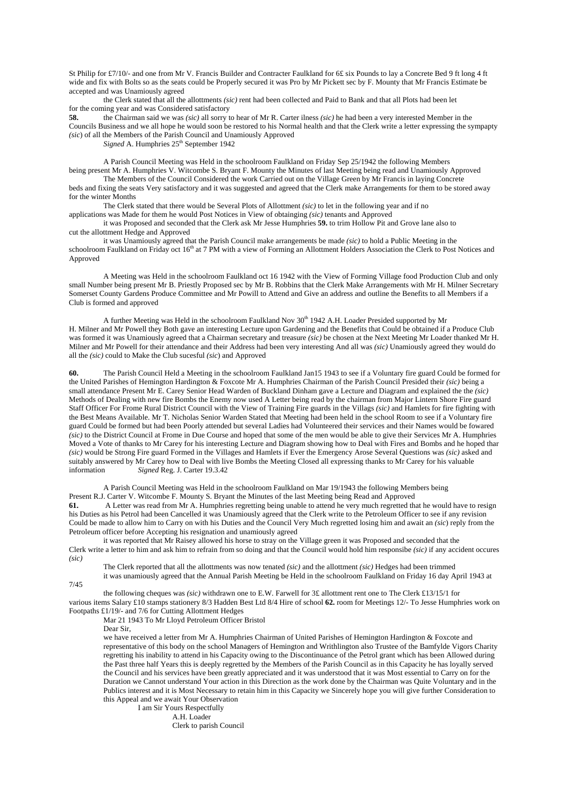St Philip for £7/10/- and one from Mr V. Francis Builder and Contracter Faulkland for 6£ six Pounds to lay a Concrete Bed 9 ft long 4 ft wide and fix with Bolts so as the seats could be Properly secured it was Pro by Mr Pickett sec by F. Mounty that Mr Francis Estimate be accepted and was Unamiously agreed

the Clerk stated that all the allottments *(sic)* rent had been collected and Paid to Bank and that all Plots had been let for the coming year and was Considered satisfactory

**58.** the Chairman said we was *(sic)* all sorry to hear of Mr R. Carter ilness *(sic)* he had been a very interested Member in the Councils Business and we all hope he would soon be restored to his Normal health and that the Clerk write a letter expressing the sympapty *(sic*) of all the Members of the Parish Council and Unamiously Approved

*Signed* A. Humphries  $25<sup>th</sup>$  September 1942

A Parish Council Meeting was Held in the schoolroom Faulkland on Friday Sep 25/1942 the following Members being present Mr A. Humphries V. Witcombe S. Bryant F. Mounty the Minutes of last Meeting being read and Unamiously Approved The Members of the Council Considered the work Carried out on the Village Green by Mr Francis in laying Concrete

beds and fixing the seats Very satisfactory and it was suggested and agreed that the Clerk make Arrangements for them to be stored away for the winter Months

The Clerk stated that there would be Several Plots of Allottment *(sic)* to let in the following year and if no applications was Made for them he would Post Notices in View of obtainging *(sic)* tenants and Approved

it was Proposed and seconded that the Clerk ask Mr Jesse Humphries **59.** to trim Hollow Pit and Grove lane also to cut the allottment Hedge and Approved

it was Unamiously agreed that the Parish Council make arrangements be made *(sic)* to hold a Public Meeting in the schoolroom Faulkland on Friday oct 16<sup>th</sup> at 7 PM with a view of Forming an Allottment Holders Association the Clerk to Post Notices and Approved

A Meeting was Held in the schoolroom Faulkland oct 16 1942 with the View of Forming Village food Production Club and only small Number being present Mr B. Priestly Proposed sec by Mr B. Robbins that the Clerk Make Arrangements with Mr H. Milner Secretary Somerset County Gardens Produce Committee and Mr Powill to Attend and Give an address and outline the Benefits to all Members if a Club is formed and approved

A further Meeting was Held in the schoolroom Faulkland Nov 30<sup>th</sup> 1942 A.H. Loader Presided supported by Mr H. Milner and Mr Powell they Both gave an interesting Lecture upon Gardening and the Benefits that Could be obtained if a Produce Club was formed it was Unamiously agreed that a Chairman secretary and treasure *(sic)* be chosen at the Next Meeting Mr Loader thanked Mr H. Milner and Mr Powell for their attendance and their Address had been very interesting And all was *(sic)* Unamiously agreed they would do all the *(sic)* could to Make the Club sucesful *(sic*) and Approved

**60.** The Parish Council Held a Meeting in the schoolroom Faulkland Jan15 1943 to see if a Voluntary fire guard Could be formed for the United Parishes of Hemington Hardington & Foxcote Mr A. Humphries Chairman of the Parish Council Presided their *(sic)* being a small attendance Present Mr E. Carey Senior Head Warden of Buckland Dinham gave a Lecture and Diagram and explained the the *(sic)* Methods of Dealing with new fire Bombs the Enemy now used A Letter being read by the chairman from Major Lintern Shore Fire guard Staff Officer For Frome Rural District Council with the View of Training Fire guards in the Villags *(sic)* and Hamlets for fire fighting with the Best Means Available. Mr T. Nicholas Senior Warden Stated that Meeting had been held in the school Room to see if a Voluntary fire guard Could be formed but had been Poorly attended but several Ladies had Volunteered their services and their Names would be fowared *(sic)* to the District Council at Frome in Due Course and hoped that some of the men would be able to give their Services Mr A. Humphries Moved a Vote of thanks to Mr Carey for his interesting Lecture and Diagram showing how to Deal with Fires and Bombs and he hoped thar *(sic)* would be Strong Fire guard Formed in the Villages and Hamlets if Ever the Emergency Arose Several Questions was *(sic)* asked and suitably answered by Mr Carey how to Deal with live Bombs the Meeting Closed all expressing thanks to Mr Carey for his valuable information *Signed* Reg. J. Carter 19.3.42

A Parish Council Meeting was Held in the schoolroom Faulkland on Mar 19/1943 the following Members being Present R.J. Carter V. Witcombe F. Mounty S. Bryant the Minutes of the last Meeting being Read and Approved **61.** A Letter was read from Mr A. Humphries regretting being unable to attend he very much regretted that he would have to resign his Duties as his Petrol had been Cancelled it was Unamiously agreed that the Clerk write to the Petroleum Officer to see if any revision Could be made to allow him to Carry on with his Duties and the Council Very Much regretted losing him and await an *(sic*) reply from the Petroleum officer before Accepting his resignation and unamiously agreed

it was reported that Mr Raisey allowed his horse to stray on the Village green it was Proposed and seconded that the Clerk write a letter to him and ask him to refrain from so doing and that the Council would hold him responsibe *(sic)* if any accident occures *(sic)*

The Clerk reported that all the allottments was now tenated *(sic)* and the allottment *(sic)* Hedges had been trimmed it was unamiously agreed that the Annual Parish Meeting be Held in the schoolroom Faulkland on Friday 16 day April 1943 at

7/45

the following cheques was *(sic)* withdrawn one to E.W. Farwell for 3£ allottment rent one to The Clerk £13/15/1 for various items Salary £10 stamps stationery 8/3 Hadden Best Ltd 8/4 Hire of school **62.** room for Meetings 12/- To Jesse Humphries work on Footpaths £1/19/- and 7/6 for Cutting Allottment Hedges

Mar 21 1943 To Mr Lloyd Petroleum Officer Bristol

Dear Sir,

we have received a letter from Mr A. Humphries Chairman of United Parishes of Hemington Hardington & Foxcote and representative of this body on the school Managers of Hemington and Writhlington also Trustee of the Bamfylde Vigors Charity regretting his inability to attend in his Capacity owing to the Discontinuance of the Petrol grant which has been Allowed during the Past three half Years this is deeply regretted by the Members of the Parish Council as in this Capacity he has loyally served the Council and his services have been greatly appreciated and it was understood that it was Most essential to Carry on for the Duration we Cannot understand Your action in this Direction as the work done by the Chairman was Quite Voluntary and in the Publics interest and it is Most Necessary to retain him in this Capacity we Sincerely hope you will give further Consideration to this Appeal and we await Your Observation

 I am Sir Yours Respectfully A.H. Loader Clerk to parish Council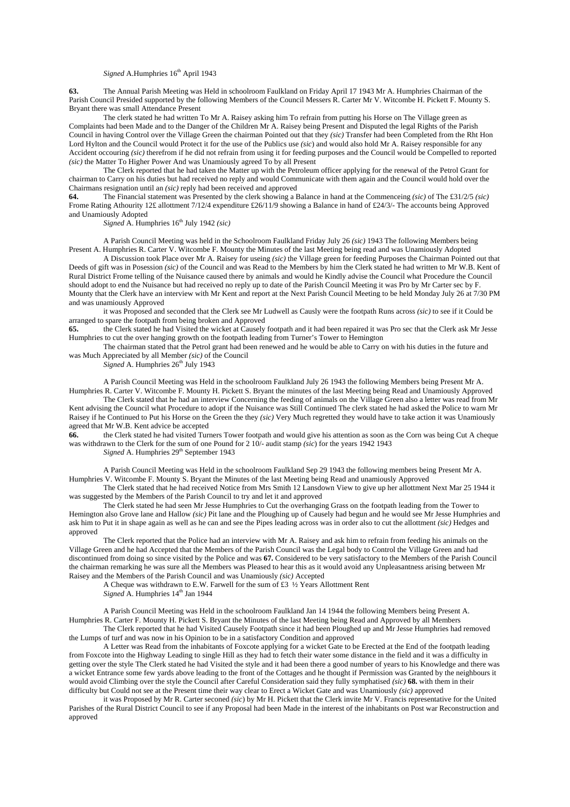### *Signed* A.Humphries  $16<sup>th</sup>$  April 1943

**63.** The Annual Parish Meeting was Held in schoolroom Faulkland on Friday April 17 1943 Mr A. Humphries Chairman of the Parish Council Presided supported by the following Members of the Council Messers R. Carter Mr V. Witcombe H. Pickett F. Mounty S. Bryant there was small Attendance Present

The clerk stated he had written To Mr A. Raisey asking him To refrain from putting his Horse on The Village green as Complaints had been Made and to the Danger of the Children Mr A. Raisey being Present and Disputed the legal Rights of the Parish Council in having Control over the Village Green the chairman Pointed out that they *(sic)* Transfer had been Completed from the Rht Hon Lord Hylton and the Council would Protect it for the use of the Publics use *(sic*) and would also hold Mr A. Raisey responsible for any Accident occouring *(sic)* therefrom if he did not refrain from using it for feeding purposes and the Council would be Compelled to reported *(sic)* the Matter To Higher Power And was Unamiously agreed To by all Present

The Clerk reported that he had taken the Matter up with the Petroleum officer applying for the renewal of the Petrol Grant for chairman to Carry on his duties but had received no reply and would Communicate with them again and the Council would hold over the Chairmans resignation until an *(sic)* reply had been received and approved **64**. The Financial statement was Presented by the clerk showing a F

**64.** The Financial statement was Presented by the clerk showing a Balance in hand at the Commenceing *(sic)* of The £31/2/5 *(sic)* Frome Rating Athourity 12£ allottment 7/12/4 expenditure £26/11/9 showing a Balance in hand of £24/3/- The accounts being Approved and Unamiously Adopted

*Signed* A. Humphries  $16<sup>th</sup>$  July 1942 *(sic)* 

A Parish Council Meeting was held in the Schoolroom Faulkland Friday July 26 *(sic)* 1943 The following Members being Present A. Humphries R. Carter V. Witcombe F. Mounty the Minutes of the last Meeting being read and was Unamiously Adopted

A Discussion took Place over Mr A. Raisey for useing *(sic)* the Village green for feeding Purposes the Chairman Pointed out that Deeds of gift was in Posession *(sic)* of the Council and was Read to the Members by him the Clerk stated he had written to Mr W.B. Kent of Rural District Frome telling of the Nuisance caused there by animals and would he Kindly advise the Council what Procedure the Council should adopt to end the Nuisance but had received no reply up to date of the Parish Council Meeting it was Pro by Mr Carter sec by F. Mounty that the Clerk have an interview with Mr Kent and report at the Next Parish Council Meeting to be held Monday July 26 at 7/30 PM and was unamiously Approved

it was Proposed and seconded that the Clerk see Mr Ludwell as Causly were the footpath Runs across *(sic)* to see if it Could be arranged to spare the footpath from being broken and Approved 65. the Clerk stated he had Visited the wicket at Causely

**65.** the Clerk stated he had Visited the wicket at Causely footpath and it had been repaired it was Pro sec that the Clerk ask Mr Jesse Humphries to cut the over hanging growth on the footpath leading from Turner's Tower to Hemington

The chairman stated that the Petrol grant had been renewed and he would be able to Carry on with his duties in the future and was Much Appreciated by all Member *(sic)* of the Council

Signed A. Humphries 26<sup>th</sup> July 1943

A Parish Council Meeting was Held in the schoolroom Faulkland July 26 1943 the following Members being Present Mr A. Humphries R. Carter V. Witcombe F. Mounty H. Pickett S. Bryant the minutes of the last Meeting being Read and Unamiously Approved

The Clerk stated that he had an interview Concerning the feeding of animals on the Village Green also a letter was read from Mr Kent advising the Council what Procedure to adopt if the Nuisance was Still Continued The clerk stated he had asked the Police to warn Mr Raisey if he Continued to Put his Horse on the Green the they *(sic)* Very Much regretted they would have to take action it was Unamiously agreed that Mr W.B. Kent advice be accepted

**66.** the Clerk stated he had visited Turners Tower footpath and would give his attention as soon as the Corn was being Cut A cheque was withdrawn to the Clerk for the sum of one Pound for 2 10/- audit stamp *(sic*) for the years 1942 1943

*Signed* A. Humphries  $29<sup>th</sup>$  September 1943

A Parish Council Meeting was Held in the schoolroom Faulkland Sep 29 1943 the following members being Present Mr A. Humphries V. Witcombe F. Mounty S. Bryant the Minutes of the last Meeting being Read and unamiously Approved

The Clerk stated that he had received Notice from Mrs Smith 12 Lansdown View to give up her allottment Next Mar 25 1944 it was suggested by the Members of the Parish Council to try and let it and approved

The Clerk stated he had seen Mr Jesse Humphries to Cut the overhanging Grass on the footpath leading from the Tower to Hemington also Grove lane and Hallow *(sic)* Pit lane and the Ploughing up of Causely had begun and he would see Mr Jesse Humphries and ask him to Put it in shape again as well as he can and see the Pipes leading across was in order also to cut the allottment *(sic)* Hedges and approved

The Clerk reported that the Police had an interview with Mr A. Raisey and ask him to refrain from feeding his animals on the Village Green and he had Accepted that the Members of the Parish Council was the Legal body to Control the Village Green and had discontinued from doing so since visited by the Police and was **67.** Considered to be very satisfactory to the Members of the Parish Council the chairman remarking he was sure all the Members was Pleased to hear this as it would avoid any Unpleasantness arising between Mr Raisey and the Members of the Parish Council and was Unamiously *(sic)* Accepted

A Cheque was withdrawn to E.W. Farwell for the sum of £3  $\frac{1}{2}$  Years Allottment Rent *Signed* A. Humphries  $14<sup>th</sup>$  Jan 1944

A Parish Council Meeting was Held in the schoolroom Faulkland Jan 14 1944 the following Members being Present A. Humphries R. Carter F. Mounty H. Pickett S. Bryant the Minutes of the last Meeting being Read and Approved by all Members

The Clerk reported that he had Visited Causely Footpath since it had been Ploughed up and Mr Jesse Humphries had removed the Lumps of turf and was now in his Opinion to be in a satisfactory Condition and approved

A Letter was Read from the inhabitants of Foxcote applying for a wicket Gate to be Erected at the End of the footpath leading from Foxcote into the Highway Leading to single Hill as they had to fetch their water some distance in the field and it was a difficulty in getting over the style The Clerk stated he had Visited the style and it had been there a good number of years to his Knowledge and there was a wicket Entrance some few yards above leading to the front of the Cottages and he thought if Permission was Granted by the neighbours it would avoid Climbing over the style the Council after Careful Consideration said they fully symphatised *(sic)* **68.** with them in their difficulty but Could not see at the Present time their way clear to Erect a Wicket Gate and was Unamiously *(sic)* approved

it was Proposed by Mr R. Carter seconed *(sic*) by Mr H. Pickett that the Clerk invite Mr V. Francis representative for the United Parishes of the Rural District Council to see if any Proposal had been Made in the interest of the inhabitants on Post war Reconstruction and approved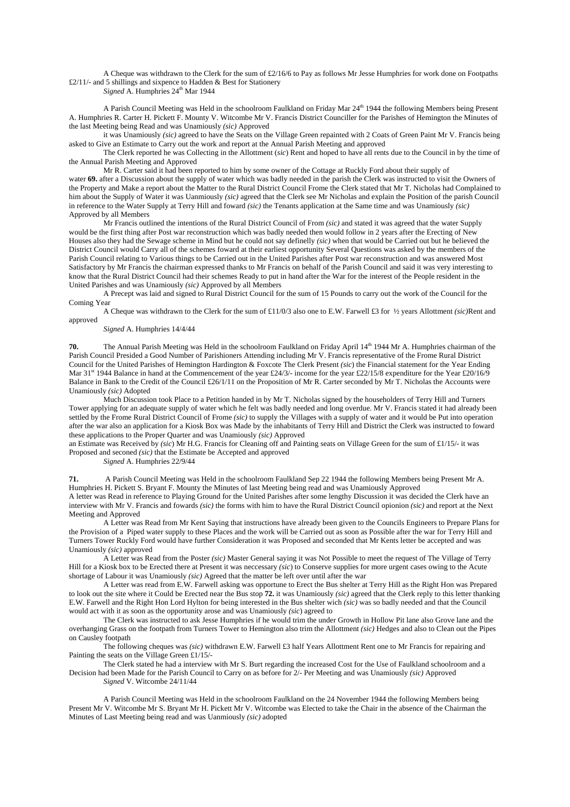A Cheque was withdrawn to the Clerk for the sum of £2/16/6 to Pay as follows Mr Jesse Humphries for work done on Footpaths £2/11/- and 5 shillings and sixpence to Hadden & Best for Stationery

*Signed* A. Humphries 24<sup>th</sup> Mar 1944

A Parish Council Meeting was Held in the schoolroom Faulkland on Friday Mar 24<sup>th</sup> 1944 the following Members being Present A. Humphries R. Carter H. Pickett F. Mounty V. Witcombe Mr V. Francis District Counciller for the Parishes of Hemington the Minutes of the last Meeting being Read and was Unamiously *(sic)* Approved

it was Unamiously *(sic)* agreed to have the Seats on the Village Green repainted with 2 Coats of Green Paint Mr V. Francis being asked to Give an Estimate to Carry out the work and report at the Annual Parish Meeting and approved

The Clerk reported he was Collecting in the Allottment (*sic*) Rent and hoped to have all rents due to the Council in by the time of the Annual Parish Meeting and Approved

Mr R. Carter said it had been reported to him by some owner of the Cottage at Ruckly Ford about their supply of water **69.** after a Discussion about the supply of water which was badly needed in the parish the Clerk was instructed to visit the Owners of the Property and Make a report about the Matter to the Rural District Council Frome the Clerk stated that Mr T. Nicholas had Complained to him about the Supply of Water it was Uanmiously *(sic)* agreed that the Clerk see Mr Nicholas and explain the Position of the parish Council in reference to the Water Supply at Terry Hill and foward *(sic)* the Tenants application at the Same time and was Unamiously *(sic)* Approved by all Members

Mr Francis outlined the intentions of the Rural District Council of From *(sic)* and stated it was agreed that the water Supply would be the first thing after Post war reconstruction which was badly needed then would follow in 2 years after the Erecting of New Houses also they had the Sewage scheme in Mind but he could not say definelly *(sic)* when that would be Carried out but he believed the District Council would Carry all of the schemes foward at their earliest opportunity Several Questions was asked by the members of the Parish Council relating to Various things to be Carried out in the United Parishes after Post war reconstruction and was answered Most Satisfactory by Mr Francis the chairman expressed thanks to Mr Francis on behalf of the Parish Council and said it was very interesting to know that the Rural District Council had their schemes Ready to put in hand after the War for the interest of the People resident in the United Parishes and was Unamiously *(sic)* Approved by all Members

A Precept was laid and signed to Rural District Council for the sum of 15 Pounds to carry out the work of the Council for the Coming Year

A Cheque was withdrawn to the Clerk for the sum of £11/0/3 also one to E.W. Farwell £3 for ½ years Allottment *(sic)*Rent and approved

*Signed* A. Humphries 14/4/44

**70.** The Annual Parish Meeting was Held in the schoolroom Faulkland on Friday April 14<sup>th</sup> 1944 Mr A. Humphries chairman of the Parish Council Presided a Good Number of Parishioners Attending including Mr V. Francis representative of the Frome Rural District Council for the United Parishes of Hemington Hardington & Foxcote The Clerk Present *(sic*) the Financial statement for the Year Ending Mar 31<sup>st</sup> 1944 Balance in hand at the Commencement of the year £24/3/- income for the year £22/15/8 expenditure for the Year £20/16/9 Balance in Bank to the Credit of the Council £26/1/11 on the Proposition of Mr R. Carter seconded by Mr T. Nicholas the Accounts were Unamiously *(sic)* Adopted

Much Discussion took Place to a Petition handed in by Mr T. Nicholas signed by the householders of Terry Hill and Turners Tower applying for an adequate supply of water which he felt was badly needed and long overdue. Mr V. Francis stated it had already been settled by the Frome Rural District Council of Frome *(sic)* to supply the Villages with a supply of water and it would be Put into operation after the war also an application for a Kiosk Box was Made by the inhabitants of Terry Hill and District the Clerk was instructed to foward these applications to the Proper Quarter and was Unamiously *(sic)* Approved

an Estimate was Received by *(sic*) Mr H.G. Francis for Cleaning off and Painting seats on Village Green for the sum of £1/15/- it was Proposed and seconed *(sic)* that the Estimate be Accepted and approved

*Signed* A. Humphries 22/9/44

**71.** A Parish Council Meeting was Held in the schoolroom Faulkland Sep 22 1944 the following Members being Present Mr A. Humphries H. Pickett S. Bryant F. Mounty the Minutes of last Meeting being read and was Unamiously Approved A letter was Read in reference to Playing Ground for the United Parishes after some lengthy Discussion it was decided the Clerk have an interview with Mr V. Francis and fowards *(sic)* the forms with him to have the Rural District Council opionion *(sic)* and report at the Next Meeting and Approved

A Letter was Read from Mr Kent Saying that instructions have already been given to the Councils Engineers to Prepare Plans for the Provision of a Piped water supply to these Places and the work will be Carried out as soon as Possible after the war for Terry Hill and Turners Tower Ruckly Ford would have further Consideration it was Proposed and seconded that Mr Kents letter be accepted and was Unamiously *(sic)* approved

A Letter was Read from the Poster *(sic)* Master General saying it was Not Possible to meet the request of The Village of Terry Hill for a Kiosk box to be Erected there at Present it was neccessary *(sic*) to Conserve supplies for more urgent cases owing to the Acute shortage of Labour it was Unamiously *(sic)* Agreed that the matter be left over until after the war

A Letter was read from E.W. Farwell asking was opportune to Erect the Bus shelter at Terry Hill as the Right Hon was Prepared to look out the site where it Could be Erected near the Bus stop **72.** it was Unamiously *(sic)* agreed that the Clerk reply to this letter thanking E.W. Farwell and the Right Hon Lord Hylton for being interested in the Bus shelter wich *(sic)* was so badly needed and that the Council would act with it as soon as the opportunity arose and was Unamiously *(sic*) agreed to

The Clerk was instructed to ask Jesse Humphries if he would trim the under Growth in Hollow Pit lane also Grove lane and the overhanging Grass on the footpath from Turners Tower to Hemington also trim the Allottment *(sic)* Hedges and also to Clean out the Pipes on Causley footpath

The following cheques was *(sic)* withdrawn E.W. Farwell £3 half Years Allottment Rent one to Mr Francis for repairing and Painting the seats on the Village Green £1/15/-

The Clerk stated he had a interview with Mr S. Burt regarding the increased Cost for the Use of Faulkland schoolroom and a Decision had been Made for the Parish Council to Carry on as before for 2/- Per Meeting and was Unamiously *(sic)* Approved *Signed* V. Witcombe 24/11/44

A Parish Council Meeting was Held in the schoolroom Faulkland on the 24 November 1944 the following Members being Present Mr V. Witcombe Mr S. Bryant Mr H. Pickett Mr V. Witcombe was Elected to take the Chair in the absence of the Chairman the Minutes of Last Meeting being read and was Uanmiously *(sic)* adopted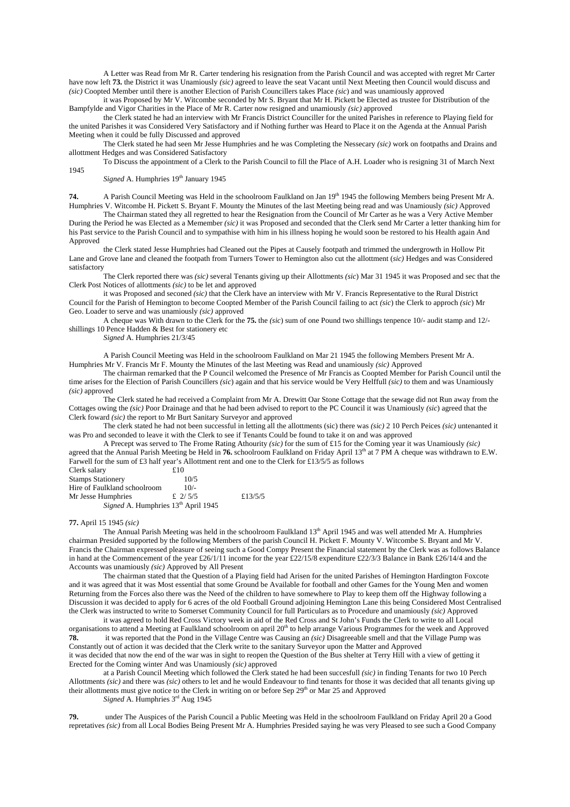A Letter was Read from Mr R. Carter tendering his resignation from the Parish Council and was accepted with regret Mr Carter have now left **73.** the District it was Unamiously *(sic)* agreed to leave the seat Vacant until Next Meeting then Council would discuss and *(sic)* Coopted Member until there is another Election of Parish Councillers takes Place *(sic*) and was unamiously approved

it was Proposed by Mr V. Witcombe seconded by Mr S. Bryant that Mr H. Pickett be Elected as trustee for Distribution of the Bampfylde and Vigor Charities in the Place of Mr R. Carter now resigned and unamiously *(sic)* approved

the Clerk stated he had an interview with Mr Francis District Counciller for the united Parishes in reference to Playing field for the united Parishes it was Considered Very Satisfactory and if Nothing further was Heard to Place it on the Agenda at the Annual Parish Meeting when it could be fully Discussed and approved

The Clerk stated he had seen Mr Jesse Humphries and he was Completing the Nessecary *(sic)* work on footpaths and Drains and allottment Hedges and was Considered Satisfactory

To Discuss the appointment of a Clerk to the Parish Council to fill the Place of A.H. Loader who is resigning 31 of March Next 1945

Signed A. Humphries 19<sup>th</sup> January 1945

**74.** A Parish Council Meeting was Held in the schoolroom Faulkland on Jan 19<sup>th</sup> 1945 the following Members being Present Mr A. Humphries V. Witcombe H. Pickett S. Bryant F. Mounty the Minutes of the last Meeting being read and was Unamiously *(sic)* Approved

The Chairman stated they all regretted to hear the Resignation from the Council of Mr Carter as he was a Very Active Member During the Period he was Elected as a Memember *(sic)* it was Proposed and seconded that the Clerk send Mr Carter a letter thanking him for his Past service to the Parish Council and to sympathise with him in his illness hoping he would soon be restored to his Health again And Approved

the Clerk stated Jesse Humphries had Cleaned out the Pipes at Causely footpath and trimmed the undergrowth in Hollow Pit Lane and Grove lane and cleaned the footpath from Turners Tower to Hemington also cut the allottment (*sic)* Hedges and was Considered satisfactory

The Clerk reported there was *(sic)* several Tenants giving up their Allottments *(sic*) Mar 31 1945 it was Proposed and sec that the Clerk Post Notices of allottments *(sic)* to be let and approved

it was Proposed and seconed *(sic)* that the Clerk have an interview with Mr V. Francis Representative to the Rural District Council for the Parish of Hemington to become Coopted Member of the Parish Council failing to act *(sic*) the Clerk to approch *(sic*) Mr Geo. Loader to serve and was unamiously *(sic)* approved

A cheque was With drawn to the Clerk for the **75.** the *(sic*) sum of one Pound two shillings tenpence 10/- audit stamp and 12/ shillings 10 Pence Hadden & Best for stationery etc

*Signed* A. Humphries 21/3/45

A Parish Council Meeting was Held in the schoolroom Faulkland on Mar 21 1945 the following Members Present Mr A. Humphries Mr V. Francis Mr F. Mounty the Minutes of the last Meeting was Read and unamiously *(sic)* Approved

The chairman remarked that the P Council welcomed the Presence of Mr Francis as Coopted Member for Parish Council until the time arises for the Election of Parish Councillers *(sic*) again and that his service would be Very Helffull *(sic)* to them and was Unamiously *(sic)* approved

The Clerk stated he had received a Complaint from Mr A. Drewitt Oar Stone Cottage that the sewage did not Run away from the Cottages owing the *(sic)* Poor Drainage and that he had been advised to report to the PC Council it was Unamiously *(sic*) agreed that the Clerk foward *(sic)* the report to Mr Burt Sanitary Surveyor and approved

The clerk stated he had not been successful in letting all the allottments (sic) there was *(sic)* 2 10 Perch Peices *(sic)* untenanted it was Pro and seconded to leave it with the Clerk to see if Tenants Could be found to take it on and was approved

A Precept was served to The Frome Rating Athourity *(sic)* for the sum of £15 for the Coming year it was Unamiously *(sic)* agreed that the Annual Parish Meeting be Held in 76. schoolroom Faulkland on Friday April 13<sup>th</sup> at 7 PM A cheque was withdrawn to E.W. Farwell for the sum of £3 half year's Allottment rent and one to the Clerk for £13/5/5 as follows

| Clerk salary                        | £10       |         |
|-------------------------------------|-----------|---------|
| <b>Stamps Stationery</b>            | 10/5      |         |
| Hire of Faulkland schoolroom        | $10/-$    |         |
| Mr Jesse Humphries                  | £ $2/5/5$ | £13/5/5 |
| Signed A. Humphries 13th April 1945 |           |         |

#### **77.** April 15 1945 *(sic)*

The Annual Parish Meeting was held in the schoolroom Faulkland 13<sup>th</sup> April 1945 and was well attended Mr A. Humphries chairman Presided supported by the following Members of the parish Council H. Pickett F. Mounty V. Witcombe S. Bryant and Mr V. Francis the Chairman expressed pleasure of seeing such a Good Compy Present the Financial statement by the Clerk was as follows Balance in hand at the Commencement of the year £26/1/11 income for the year £22/15/8 expenditure £22/3/3 Balance in Bank £26/14/4 and the Accounts was unamiously *(sic)* Approved by All Present

The chairman stated that the Question of a Playing field had Arisen for the united Parishes of Hemington Hardington Foxcote and it was agreed that it was Most essential that some Ground be Available for football and other Games for the Young Men and women Returning from the Forces also there was the Need of the children to have somewhere to Play to keep them off the Highway following a Discussion it was decided to apply for 6 acres of the old Football Ground adjoining Hemington Lane this being Considered Most Centralised the Clerk was instructed to write to Somerset Community Council for full Particulars as to Procedure and unamiously *(sic)* Approved

it was agreed to hold Red Cross Victory week in aid of the Red Cross and St John's Funds the Clerk to write to all Local organisations to attend a Meeting at Faulkland schoolroom on april 20<sup>th</sup> to help arrange Various Programmes for the week and Approved **78.** it was reported that the Pond in the Village Centre was Causing an *(sic)* Disagreeable smell and that the Village Pump was Constantly out of action it was decided that the Clerk write to the sanitary Surveyor upon the Matter and Approved it was decided that now the end of the war was in sight to reopen the Question of the Bus shelter at Terry Hill with a view of getting it Erected for the Coming winter And was Unamiously *(sic)* approved

at a Parish Council Meeting which followed the Clerk stated he had been succesfull *(sic)* in finding Tenants for two 10 Perch Allottments *(sic)* and there was *(sic)* others to let and he would Endeavour to find tenants for those it was decided that all tenants giving up their allottments must give notice to the Clerk in writing on or before Sep 29<sup>th</sup> or Mar 25 and Approved

*Signed* A. Humphries 3rd Aug 1945

**79.** under The Auspices of the Parish Council a Public Meeting was Held in the schoolroom Faulkland on Friday April 20 a Good repretatives *(sic)* from all Local Bodies Being Present Mr A. Humphries Presided saying he was very Pleased to see such a Good Company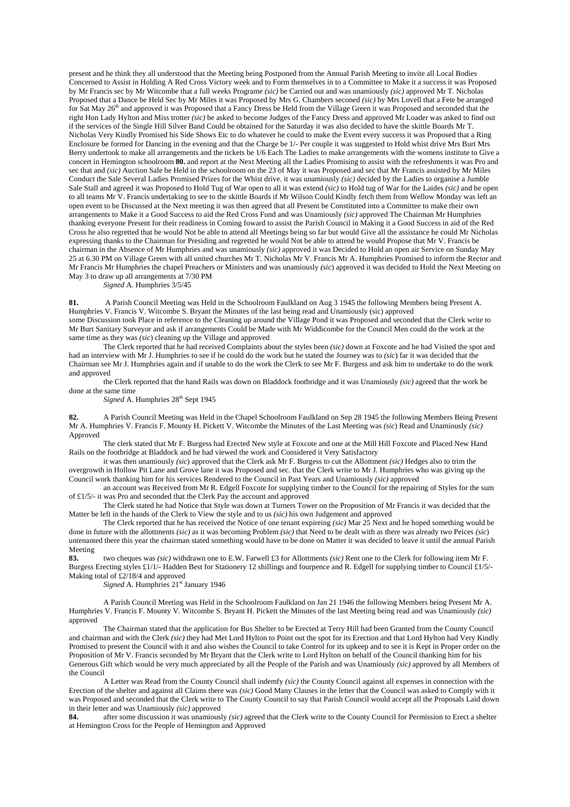present and he think they all understood that the Meeting being Postponed from the Annual Parish Meeting to invite all Local Bodies Concerned to Assist in Holding A Red Cross Victory week and to Form themselves in to a Committee to Make it a success it was Proposed by Mr Francis sec by Mr Witcombe that a full weeks Programe *(sic)* be Carried out and was unamiously *(sic)* approved Mr T. Nicholas Proposed that a Dance be Held Sec by Mr Miles it was Proposed by Mrs G. Chambers seconed *(sic)* by Mrs Lovell that a Fete be arranged for Sat May 26<sup>th</sup> and approved it was Proposed that a Fancy Dress be Held from the Village Green it was Proposed and seconded that the right Hon Lady Hylton and Miss trotter *(sic)* be asked to become Judges of the Fancy Dress and approved Mr Loader was asked to find out if the services of the Single Hill Silver Band Could be obtained for the Saturday it was also decided to have the skittle Boards Mr T. Nicholas Very Kindly Promised his Side Shows Etc to do whatever he could to make the Event every success it was Proposed that a Ring Enclosure be formed for Dancing in the evening and that the Charge be 1/- Per couple it was suggested to Hold whist drive Mrs Burt Mrs Berry undertook to make all arrangements and the tickets be 1/6 Each The Ladies to make arrangements with the womens institute to Give a concert in Hemington schoolroom **80.** and report at the Next Meeting all the Ladies Promising to assist with the refreshments it was Pro and sec that and *(sic)* Auction Sale be Held in the schoolroom on the 23 of May it was Proposed and sec that Mr Francis assisted by Mr Miles Conduct the Sale Several Ladies Promised Prizes for the Whist drive. it was unamiously *(sic)* decided by the Ladies to organise a Jumble Sale Stall and agreed it was Proposed to Hold Tug of War open to all it was extend *(sic)* to Hold tug of War for the Laides *(sic)* and be open to all teams Mr V. Francis undertaking to see to the skittle Boards if Mr Wilson Could Kindly fetch them from Wellow Monday was left an open event to be Discussed at the Next meeting it was then agreed that all Present be Constituted into a Committee to make their own arrangements to Make it a Good Success to aid the Red Cross Fund and was Unamiously *(sic)* approved The Chairman Mr Humphries thanking everyone Present for their readiness in Coming foward to assist the Parish Council in Making it a Good Success in aid of the Red Cross he also regretted that he would Not be able to attend all Meetings being so far but would Give all the assistance he could Mr Nicholas expressing thanks to the Chairman for Presiding and regretted he would Not be able to attend he would Propose that Mr V. Francis be chairman in the Absence of Mr Humphries and was unamiously *(sic)* approved it was Decided to Hold an open air Service on Sunday May 25 at 6.30 PM on Village Green with all united churches Mr T. Nicholas Mr V. Francis Mr A. Humphries Promised to inform the Rector and Mr Francis Mr Humphries the chapel Preachers or Ministers and was unamiously *(sic*) approved it was decided to Hold the Next Meeting on May 3 to draw up all arrangements at 7/30 PM

*Signed* A. Humphries 3/5/45

**81.** A Parish Council Meeting was Held in the Schoolroom Faulkland on Aug 3 1945 the following Members being Present A. Humphries V. Francis V. Witcombe S. Bryant the Minutes of the last being read and Unamiously (sic) approved some Discussion took Place in reference to the Cleaning up around the Village Pond it was Proposed and seconded that the Clerk write to Mr Burt Sanitary Surveyor and ask if arrangements Could be Made with Mr Widdicombe for the Council Men could do the work at the same time as they was *(sic*) cleaning up the Village and approved

The Clerk reported that he had received Complaints about the styles been *(sic)* down at Foxcote and he had Visited the spot and had an interview with Mr J. Humphries to see if he could do the work but he stated the Journey was to *(sic*) far it was decided that the Chairman see Mr J. Humphries again and if unable to do the work the Clerk to see Mr F. Burgess and ask him to undertake to do the work and approved

the Clerk reported that the hand Rails was down on Bladdock footbridge and it was Unamiously *(sic)* agreed that the work be done at the same time

Signed A. Humphries 28<sup>th</sup> Sept 1945

**82.** A Parish Council Meeting was Held in the Chapel Schoolroom Faulkland on Sep 28 1945 the following Members Being Present Mr A. Humphries V. Francis F. Mounty H. Pickett V. Witcombe the Minutes of the Last Meeting was *(sic*) Read and Unamiously *(sic)* Approved

The clerk stated that Mr F. Burgess had Erected New style at Foxcote and one at the Mill Hill Foxcote and Placed New Hand Rails on the footbridge at Bladdock and he had viewed the work and Considered it Very Satisfactory

it was then unamiously *(sic*) approved that the Clerk ask Mr F. Burgess to cut the Allottment *(sic)* Hedges also to trim the overgrowth in Hollow Pit Lane and Grove lane it was Proposed and sec. that the Clerk write to Mr J. Humphries who was giving up the Council work thanking him for his services Rendered to the Council in Past Years and Unamiously *(sic)* approved

an account was Received from Mr R. Edgell Foxcote for supplying timber to the Council for the repairing of Styles for the sum of £1/5/- it was Pro and seconded that the Clerk Pay the account and approved

The Clerk stated he had Notice that Style was down at Turners Tower on the Proposition of Mr Francis it was decided that the Matter be left in the hands of the Clerk to View the style and to us *(sic)* his own Judgement and approved

The Clerk reported that he has received the Notice of one tenant expireing *(sic)* Mar 25 Next and he hoped something would be done in future with the allottments *(sic)* as it was becoming Problem *(sic)* that Need to be dealt with as there was already two Peices *(sic*) untenanted there this year the chairman stated something would have to be done on Matter it was decided to leave it until the annual Parish Meeting

**83.** two cheques was *(sic)* withdrawn one to E.W. Farwell £3 for Allottments *(sic)* Rent one to the Clerk for following item Mr F. Burgess Erecting styles £1/1/- Hadden Best for Stationery 12 shillings and fourpence and R. Edgell for supplying timber to Council £1/5/- Making total of £2/18/4 and approved

*Signed* A. Humphries 21<sup>st</sup> January 1946

A Parish Council Meeting was Held in the Schoolroom Faulkland on Jan 21 1946 the following Members being Present Mr A. Humphries V. Francis F. Mounty V. Witcombe S. Bryant H. Pickett the Minutes of the last Meeting being read and was Unamiously *(sic)* approved

The Chairman stated that the application for Bus Shelter to be Erected at Terry Hill had been Granted from the County Council and chairman and with the Clerk *(sic)* they had Met Lord Hylton to Point out the spot for its Erection and that Lord Hylton had Very Kindly Promised to present the Council with it and also wishes the Council to take Control for its upkeep and to see it is Kept in Proper order on the Proposition of Mr V. Francis seconded by Mr Bryant that the Clerk write to Lord Hylton on behalf of the Council thanking him for his Generous Gift which would be very much appreciated by all the People of the Parish and was Unamiously *(sic)* approved by all Members of the Council

A Letter was Read from the County Council shall indemfy *(sic)* the County Council against all expenses in connection with the Erection of the shelter and against all Claims there was *(sic)* Good Many Clauses in the letter that the Council was asked to Comply with it was Proposed and seconded that the Clerk write to The County Council to say that Parish Council would accept all the Proposals Laid down in their letter and was Unamiously *(sic)* approved **84**. after some discussion it was unamiously

**84.** after some discussion it was unamiously *(sic)* agreed that the Clerk write to the County Council for Permission to Erect a shelter at Hemington Cross for the People of Hemington and Approved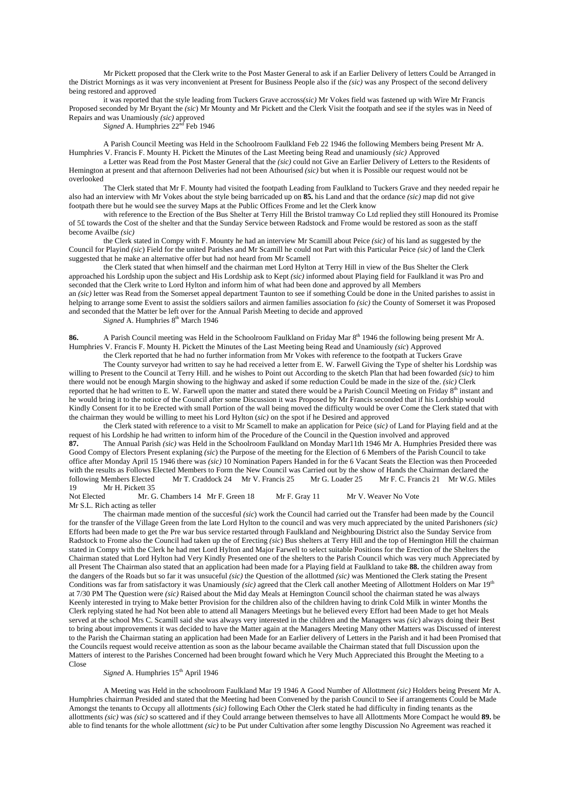Mr Pickett proposed that the Clerk write to the Post Master General to ask if an Earlier Delivery of letters Could be Arranged in the District Mornings as it was very inconvenient at Present for Business People also if the *(sic)* was any Prospect of the second delivery being restored and approved

it was reported that the style leading from Tuckers Grave accross*(sic)* Mr Vokes field was fastened up with Wire Mr Francis Proposed seconded by Mr Bryant the *(sic*) Mr Mounty and Mr Pickett and the Clerk Visit the footpath and see if the styles was in Need of Repairs and was Unamiously *(sic)* approved

*Signed* A. Humphries  $22^{\text{nd}}$  Feb 1946

A Parish Council Meeting was Held in the Schoolroom Faulkland Feb 22 1946 the following Members being Present Mr A. Humphries V. Francis F. Mounty H. Pickett the Minutes of the Last Meeting being Read and unamiously *(sic)* Approved

a Letter was Read from the Post Master General that the *(sic)* could not Give an Earlier Delivery of Letters to the Residents of Hemington at present and that afternoon Deliveries had not been Athourised *(sic)* but when it is Possible our request would not be overlooked

The Clerk stated that Mr F. Mounty had visited the footpath Leading from Faulkland to Tuckers Grave and they needed repair he also had an interview with Mr Vokes about the style being barricaded up on **85.** his Land and that the ordance *(sic)* map did not give footpath there but he would see the survey Maps at the Public Offices Frome and let the Clerk know

with reference to the Erection of the Bus Shelter at Terry Hill the Bristol tramway Co Ltd replied they still Honoured its Promise of 5£ towards the Cost of the shelter and that the Sunday Service between Radstock and Frome would be restored as soon as the staff become Availbe *(sic)*

the Clerk stated in Compy with F. Mounty he had an interview Mr Scamill about Peice *(sic)* of his land as suggested by the Council for Playind *(sic*) Field for the united Parishes and Mr Scamill he could not Part with this Particular Peice *(sic)* of land the Clerk suggested that he make an alternative offer but had not heard from Mr Scamell

the Clerk stated that when himself and the chairman met Lord Hylton at Terry Hill in view of the Bus Shelter the Clerk approached his Lordship upon the subject and His Lordship ask to Kept *(sic)* informed about Playing field for Faulkland it was Pro and seconded that the Clerk write to Lord Hylton and inform him of what had been done and approved by all Members an *(sic)* letter was Read from the Somerset appeal department Taunton to see if something Could be done in the United parishes to assist in helping to arrange some Event to assist the soldiers sailors and airmen families association fo *(sic)* the County of Somerset it was Proposed and seconded that the Matter be left over for the Annual Parish Meeting to decide and approved

*Signed* A. Humphries  $8<sup>th</sup>$  March 1946

86. A Parish Council meeting was Held in the Schoolroom Faulkland on Friday Mar 8<sup>th</sup> 1946 the following being present Mr A. Humphries V. Francis F. Mounty H. Pickett the Minutes of the Last Meeting being Read and Unamiously *(sic*) Approved

the Clerk reported that he had no further information from Mr Vokes with reference to the footpath at Tuckers Grave

The County surveyor had written to say he had received a letter from E. W. Farwell Giving the Type of shelter his Lordship was willing to Present to the Council at Terry Hill. and he wishes to Point out According to the sketch Plan that had been fowarded *(sic)* to him there would not be enough Margin showing to the highway and asked if some reduction Could be made in the size of the. *(sic)* Clerk reported that he had written to E. W. Farwell upon the matter and stated there would be a Parish Council Meeting on Friday  $8<sup>th</sup>$  instant and he would bring it to the notice of the Council after some Discussion it was Proposed by Mr Francis seconded that if his Lordship would Kindly Consent for it to be Erected with small Portion of the wall being moved the difficulty would be over Come the Clerk stated that with the chairman they would be willing to meet his Lord Hylton (*sic)* on the spot if he Desired and approved

the Clerk stated with reference to a visit to Mr Scamell to make an application for Peice (*sic)* of Land for Playing field and at the request of his Lordship he had written to inform him of the Procedure of the Council in the Question involved and approved **87.** The Annual Parish *(sic)* was Held in the Schoolroom Faulkland on Monday Mar11th 1946 Mr A. Humphries Presided there was Good Compy of Electors Present explaning *(sic*) the Purpose of the meeting for the Election of 6 Members of the Parish Council to take office after Monday April 15 1946 there was *(sic)* 10 Nomination Papers Handed in for the 6 Vacant Seats the Election was then Proceeded with the results as Follows Elected Members to Form the New Council was Carried out by the show of Hands the Chairman declared the following Members Elected Mr T. Craddock 24 Mr V. Francis 25 Mr G. Loader 25 Mr F. C. Francis 21 Mr W.G. Miles Mr H. Pickett 35

Not Elected Mr. G. Chambers 14 Mr F. Green 18 Mr F. Gray 11 Mr V. Weaver No Vote Mr S.L. Rich acting as teller

The chairman made mention of the succesful *(sic*) work the Council had carried out the Transfer had been made by the Council for the transfer of the Village Green from the late Lord Hylton to the council and was very much appreciated by the united Parishoners *(sic)* Efforts had been made to get the Pre war bus service restarted through Faulkland and Neighbouring District also the Sunday Service from Radstock to Frome also the Council had taken up the of Erecting *(sic*) Bus shelters at Terry Hill and the top of Hemington Hill the chairman stated in Compy with the Clerk he had met Lord Hylton and Major Farwell to select suitable Positions for the Erection of the Shelters the Chairman stated that Lord Hylton had Very Kindly Presented one of the shelters to the Parish Council which was very much Appreciated by all Present The Chairman also stated that an application had been made for a Playing field at Faulkland to take **88.** the children away from the dangers of the Roads but so far it was unsuceful *(sic)* the Question of the allottmed *(sic)* was Mentioned the Clerk stating the Present Conditions was far from satisfactory it was Unamiously *(sic)* agreed that the Clerk call another Meeting of Allottment Holders on Mar 19th at 7/30 PM The Question were *(sic)* Raised about the Mid day Meals at Hemington Council school the chairman stated he was always Keenly interested in trying to Make better Provision for the children also of the children having to drink Cold Milk in winter Months the Clerk replying stated he had Not been able to attend all Managers Meetings but he believed every Effort had been Made to get hot Meals served at the school Mrs C. Scamill said she was always very interested in the children and the Managers was *(sic*) always doing their Best to bring about improvements it was decided to have the Matter again at the Managers Meeting Many other Matters was Discussed of interest to the Parish the Chairman stating an application had been Made for an Earlier delivery of Letters in the Parish and it had been Promised that the Councils request would receive attention as soon as the labour became available the Chairman stated that full Discussion upon the Matters of interest to the Parishes Concerned had been brought foward which he Very Much Appreciated this Brought the Meeting to a Close

## *Signed* A. Humphries  $15<sup>th</sup>$  April 1946

A Meeting was Held in the schoolroom Faulkland Mar 19 1946 A Good Number of Allottment *(sic)* Holders being Present Mr A. Humphries chairman Presided and stated that the Meeting had been Convened by the parish Council to See if arrangements Could be Made Amongst the tenants to Occupy all allottments *(sic)* following Each Other the Clerk stated he had difficulty in finding tenants as the allottments *(sic)* was *(sic)* so scattered and if they Could arrange between themselves to have all Allottments More Compact he would **89.** be able to find tenants for the whole allottment *(sic)* to be Put under Cultivation after some lengthy Discussion No Agreement was reached it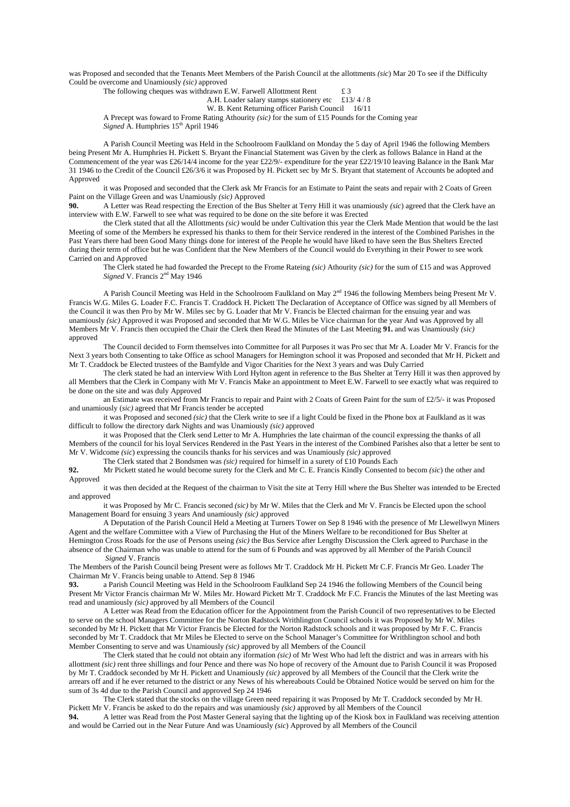was Proposed and seconded that the Tenants Meet Members of the Parish Council at the allottments *(sic*) Mar 20 To see if the Difficulty Could be overcome and Unamiously *(sic)* approved

The following cheques was withdrawn E.W. Farwell Allottment Rent  $\text{£ } 3$ 

A.H. Loader salary stamps stationery etc  $£13/4/8$ 

W. B. Kent Returning officer Parish Council 16/11

A Precept was foward to Frome Rating Athourity *(sic)* for the sum of £15 Pounds for the Coming year *Signed* A. Humphries  $15<sup>th</sup>$  April 1946

A Parish Council Meeting was Held in the Schoolroom Faulkland on Monday the 5 day of April 1946 the following Members being Present Mr A. Humphries H. Pickett S. Bryant the Financial Statement was Given by the clerk as follows Balance in Hand at the Commencement of the year was £26/14/4 income for the year £22/9/- expenditure for the year £22/19/10 leaving Balance in the Bank Mar 31 1946 to the Credit of the Council £26/3/6 it was Proposed by H. Pickett sec by Mr S. Bryant that statement of Accounts be adopted and Approved

it was Proposed and seconded that the Clerk ask Mr Francis for an Estimate to Paint the seats and repair with 2 Coats of Green Paint on the Village Green and was Unamiously *(sic)* Approved

**90.** A Letter was Read respecting the Erection of the Bus Shelter at Terry Hill it was unamiously *(sic)* agreed that the Clerk have an interview with E.W. Farwell to see what was required to be done on the site before it was Erected

the Clerk stated that all the Allottments *(sic)* would be under Cultivation this year the Clerk Made Mention that would be the last Meeting of some of the Members he expressed his thanks to them for their Service rendered in the interest of the Combined Parishes in the Past Years there had been Good Many things done for interest of the People he would have liked to have seen the Bus Shelters Erected during their term of office but he was Confident that the New Members of the Council would do Everything in their Power to see work Carried on and Approved

The Clerk stated he had fowarded the Precept to the Frome Rateing *(sic)* Athourity *(sic)* for the sum of £15 and was Approved Signed V. Francis 2<sup>nd</sup> May 1946

A Parish Council Meeting was Held in the Schoolroom Faulkland on May  $2<sup>nd</sup>$  1946 the following Members being Present Mr V. Francis W.G. Miles G. Loader F.C. Francis T. Craddock H. Pickett The Declaration of Acceptance of Office was signed by all Members of the Council it was then Pro by Mr W. Miles sec by G. Loader that Mr V. Francis be Elected chairman for the ensuing year and was unamiously *(sic)* Approved it was Proposed and seconded that Mr W.G. Miles be Vice chairman for the year And was Approved by all Members Mr V. Francis then occupied the Chair the Clerk then Read the Minutes of the Last Meeting **91.** and was Unamiously *(sic)* approved

The Council decided to Form themselves into Committee for all Purposes it was Pro sec that Mr A. Loader Mr V. Francis for the Next 3 years both Consenting to take Office as school Managers for Hemington school it was Proposed and seconded that Mr H. Pickett and Mr T. Craddock be Elected trustees of the Bamfylde and Vigor Charities for the Next 3 years and was Duly Carried

The clerk stated he had an interview With Lord Hylton agent in reference to the Bus Shelter at Terry Hill it was then approved by all Members that the Clerk in Company with Mr V. Francis Make an appointment to Meet E.W. Farwell to see exactly what was required to be done on the site and was duly Approved

an Estimate was received from Mr Francis to repair and Paint with 2 Coats of Green Paint for the sum of £2/5/- it was Proposed and unamiously (*sic)* agreed that Mr Francis tender be accepted

it was Proposed and seconed *(sic)* that the Clerk write to see if a light Could be fixed in the Phone box at Faulkland as it was difficult to follow the directory dark Nights and was Unamiously *(sic)* approved

it was Proposed that the Clerk send Letter to Mr A. Humphries the late chairman of the council expressing the thanks of all Members of the council for his loyal Services Rendered in the Past Years in the interest of the Combined Parishes also that a letter be sent to Mr V. Widcome *(sic*) expressing the councils thanks for his services and was Unamiously *(sic)* approved

The Clerk stated that 2 Bondsmen was *(sic)* required for himself in a surety of £10 Pounds Each

**92.** Mr Pickett stated he would become surety for the Clerk and Mr C. E. Francis Kindly Consented to becom *(sic*) the other and Approved

it was then decided at the Request of the chairman to Visit the site at Terry Hill where the Bus Shelter was intended to be Erected and approved

it was Proposed by Mr C. Francis seconed *(sic)* by Mr W. Miles that the Clerk and Mr V. Francis be Elected upon the school Management Board for ensuing 3 years And unamiously *(sic)* approved

A Deputation of the Parish Council Held a Meeting at Turners Tower on Sep 8 1946 with the presence of Mr Llewellwyn Miners Agent and the welfare Committee with a View of Purchasing the Hut of the Miners Welfare to be reconditioned for Bus Shelter at Hemington Cross Roads for the use of Persons useing *(sic)* the Bus Service after Lengthy Discussion the Clerk agreed to Purchase in the absence of the Chairman who was unable to attend for the sum of 6 Pounds and was approved by all Member of the Parish Council

*Signed* V. Francis

The Members of the Parish Council being Present were as follows Mr T. Craddock Mr H. Pickett Mr C.F. Francis Mr Geo. Loader The Chairman Mr V. Francis being unable to Attend. Sep 8 1946

**93.** a Parish Council Meeting was Held in the Schoolroom Faulkland Sep 24 1946 the following Members of the Council being Present Mr Victor Francis chairman Mr W. Miles Mr. Howard Pickett Mr T. Craddock Mr F.C. Francis the Minutes of the last Meeting was read and unamiously *(sic)* approved by all Members of the Council

A Letter was Read from the Education officer for the Appointment from the Parish Council of two representatives to be Elected to serve on the school Managers Committee for the Norton Radstock Writhlington Council schools it was Proposed by Mr W. Miles seconded by Mr H. Pickett that Mr Victor Francis be Elected for the Norton Radstock schools and it was proposed by Mr F. C. Francis seconded by Mr T. Craddock that Mr Miles be Elected to serve on the School Manager's Committee for Writhlington school and both Member Consenting to serve and was Unamiously *(sic)* approved by all Members of the Council

The Clerk stated that he could not obtain any iformation *(sic)* of Mr West Who had left the district and was in arrears with his allottment *(sic)* rent three shillings and four Pence and there was No hope of recovery of the Amount due to Parish Council it was Proposed by Mr T. Craddock seconded by Mr H. Pickett and Unamiously *(sic)* approved by all Members of the Council that the Clerk write the arrears off and if he ever returned to the district or any News of his whereabouts Could be Obtained Notice would be served on him for the sum of 3s 4d due to the Parish Council and approved Sep 24 1946

The Clerk stated that the stocks on the village Green need repairing it was Proposed by Mr T. Craddock seconded by Mr H. Pickett Mr V. Francis be asked to do the repairs and was unamiously *(sic)* approved by all Members of the Council

**94.** A letter was Read from the Post Master General saying that the lighting up of the Kiosk box in Faulkland was receiving attention and would be Carried out in the Near Future And was Unamiously *(sic*) Approved by all Members of the Council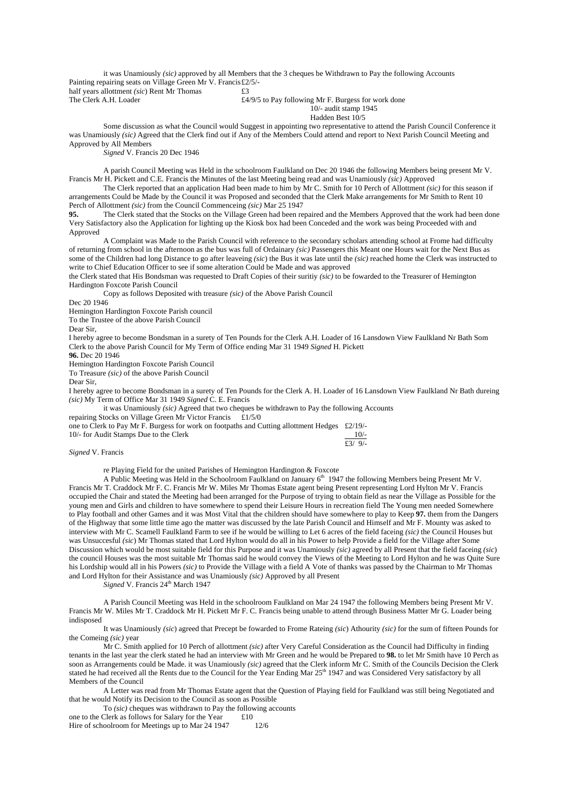it was Unamiously *(sic)* approved by all Members that the 3 cheques be Withdrawn to Pay the following Accounts Painting repairing seats on Village Green Mr V. Francis £2/5/ half years allottment *(sic)* Rent Mr Thomas **£3**<br>The Clerk A.H. Loader **£4**,

£4/9/5 to Pay following Mr F. Burgess for work done

# 10/- audit stamp 1945

Hadden Best 10/5

Some discussion as what the Council would Suggest in appointing two representative to attend the Parish Council Conference it was Unamiously *(sic)* Agreed that the Clerk find out if Any of the Members Could attend and report to Next Parish Council Meeting and Approved by All Members

*Signed* V. Francis 20 Dec 1946

A parish Council Meeting was Held in the schoolroom Faulkland on Dec 20 1946 the following Members being present Mr V. Francis Mr H. Pickett and C.E. Francis the Minutes of the last Meeting being read and was Unamiously *(sic)* Approved

The Clerk reported that an application Had been made to him by Mr C. Smith for 10 Perch of Allottment *(sic)* for this season if arrangements Could be Made by the Council it was Proposed and seconded that the Clerk Make arrangements for Mr Smith to Rent 10 Perch of Allottment *(sic)* from the Council Commenceing *(sic)* Mar 25 1947

**95.** The Clerk stated that the Stocks on the Village Green had been repaired and the Members Approved that the work had been done Very Satisfactory also the Application for lighting up the Kiosk box had been Conceded and the work was being Proceeded with and Approved

A Complaint was Made to the Parish Council with reference to the secondary scholars attending school at Frome had difficulty of returning from school in the afternoon as the bus was full of Ordainary *(sic)* Passengers this Meant one Hours wait for the Next Bus as some of the Children had long Distance to go after leaveing *(sic*) the Bus it was late until the *(sic)* reached home the Clerk was instructed to write to Chief Education Officer to see if some alteration Could be Made and was approved

the Clerk stated that His Bondsman was requested to Draft Copies of their suritiy *(sic)* to be fowarded to the Treasurer of Hemington Hardington Foxcote Parish Council

Copy as follows Deposited with treasure *(sic)* of the Above Parish Council

Dec 20 1946

Hemington Hardington Foxcote Parish council

To the Trustee of the above Parish Council

Dear Sir,

I hereby agree to become Bondsman in a surety of Ten Pounds for the Clerk A.H. Loader of 16 Lansdown View Faulkland Nr Bath Som Clerk to the above Parish Council for My Term of Office ending Mar 31 1949 *Signed* H. Pickett

**96.** Dec 20 1946

Hemington Hardington Foxcote Parish Council

To Treasure *(sic)* of the above Parish Council

Dear Sir,

I hereby agree to become Bondsman in a surety of Ten Pounds for the Clerk A. H. Loader of 16 Lansdown View Faulkland Nr Bath dureing *(sic)* My Term of Office Mar 31 1949 *Signed* C. E. Francis

it was Unamiously *(sic)* Agreed that two cheques be withdrawn to Pay the following Accounts

repairing Stocks on Village Green Mr Victor Francis £1/5/0

one to Clerk to Pay Mr F. Burgess for work on footpaths and Cutting allottment Hedges  $\pounds 2/19/2$ 

| 10/- for Audit Stamps Due to the Clerk | $10/-$    |
|----------------------------------------|-----------|
|                                        | £3/ $9/-$ |

*Signed* V. Francis

re Playing Field for the united Parishes of Hemington Hardington & Foxcote

A Public Meeting was Held in the Schoolroom Faulkland on January 6th 1947 the following Members being Present Mr V. Francis Mr T. Craddock Mr F. C. Francis Mr W. Miles Mr Thomas Estate agent being Present representing Lord Hylton Mr V. Francis occupied the Chair and stated the Meeting had been arranged for the Purpose of trying to obtain field as near the Village as Possible for the young men and Girls and children to have somewhere to spend their Leisure Hours in recreation field The Young men needed Somewhere to Play football and other Games and it was Most Vital that the children should have somewhere to play to Keep **97.** them from the Dangers of the Highway that some little time ago the matter was discussed by the late Parish Council and Himself and Mr F. Mounty was asked to interview with Mr C. Scamell Faulkland Farm to see if he would be willing to Let 6 acres of the field faceing *(sic)* the Council Houses but was Unsuccesful *(sic*) Mr Thomas stated that Lord Hylton would do all in his Power to help Provide a field for the Village after Some Discussion which would be most suitable field for this Purpose and it was Unamiously  $\langle sic \rangle$  agreed by all Present that the field faceing *(sic)* the council Houses was the most suitable Mr Thomas said he would convey the Views of the Meeting to Lord Hylton and he was Quite Sure his Lordship would all in his Powers *(sic)* to Provide the Village with a field A Vote of thanks was passed by the Chairman to Mr Thomas and Lord Hylton for their Assistance and was Unamiously *(sic)* Approved by all Present

*Signed* V. Francis 24<sup>th</sup> March 1947

A Parish Council Meeting was Held in the schoolroom Faulkland on Mar 24 1947 the following Members being Present Mr V. Francis Mr W. Miles Mr T. Craddock Mr H. Pickett Mr F. C. Francis being unable to attend through Business Matter Mr G. Loader being indisposed

It was Unamiously *(sic*) agreed that Precept be fowarded to Frome Rateing *(sic*) Athourity *(sic)* for the sum of fifteen Pounds for the Comeing *(sic)* year

Mr C. Smith applied for 10 Perch of allottment *(sic)* after Very Careful Consideration as the Council had Difficulty in finding tenants in the last year the clerk stated he had an interview with Mr Green and he would be Prepared to **98.** to let Mr Smith have 10 Perch as soon as Arrangements could be Made. it was Unamiously *(sic)* agreed that the Clerk inform Mr C. Smith of the Councils Decision the Clerk stated he had received all the Rents due to the Council for the Year Ending Mar  $25<sup>th</sup>$  1947 and was Considered Very satisfactory by all Members of the Council

A Letter was read from Mr Thomas Estate agent that the Question of Playing field for Faulkland was still being Negotiated and that he would Notify its Decision to the Council as soon as Possible

To *(sic)* cheques was withdrawn to Pay the following accounts<br>Clerk as follows for Salary for the Year f.10

one to the Clerk as follows for Salary for the Year Hire of schoolroom for Meetings up to Mar 24 1947 12/6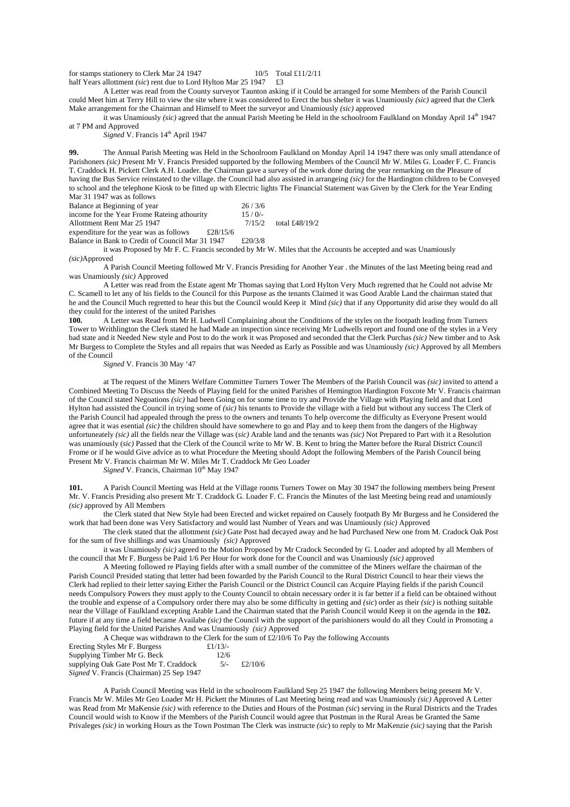for stamps stationery to Clerk Mar 24 1947  $10/5$  Total £11/2/11 half Years allottment *(sic)* rent due to Lord Hylton Mar 25 1947 £3

A Letter was read from the County surveyor Taunton asking if it Could be arranged for some Members of the Parish Council could Meet him at Terry Hill to view the site where it was considered to Erect the bus shelter it was Unamiously *(sic)* agreed that the Clerk Make arrangement for the Chairman and Himself to Meet the surveyor and Unamiously *(sic)* approved

it was Unamiously *(sic)* agreed that the annual Parish Meeting be Held in the schoolroom Faulkland on Monday April 14<sup>th</sup> 1947 at 7 PM and Approved

*Signed* V. Francis 14<sup>th</sup> April 1947

**99.** The Annual Parish Meeting was Held in the Schoolroom Faulkland on Monday April 14 1947 there was only small attendance of Parishoners *(sic)* Present Mr V. Francis Presided supported by the following Members of the Council Mr W. Miles G. Loader F. C. Francis T. Craddock H. Pickett Clerk A.H. Loader. the Chairman gave a survey of the work done during the year remarking on the Pleasure of having the Bus Service reinstated to the village. the Council had also assisted in arrangeing *(sic)* for the Hardington children to be Conveyed to school and the telephone Kiosk to be fitted up with Electric lights The Financial Statement was Given by the Clerk for the Year Ending Mar 31 1947 was as follows

| Balance at Beginning of year                |          | 26/3/6   |                |
|---------------------------------------------|----------|----------|----------------|
| income for the Year Frome Rateing athourity |          | $15/0/-$ |                |
| Allottment Rent Mar 25 1947                 |          | 7/15/2   | total £48/19/2 |
| expenditure for the year was as follows     | £28/15/6 |          |                |

Balance in Bank to Credit of Council Mar 31 1947 £20/3/8

it was Proposed by Mr F. C. Francis seconded by Mr W. Miles that the Accounts be accepted and was Unamiously *(sic)*Approved

A Parish Council Meeting followed Mr V. Francis Presiding for Another Year . the Minutes of the last Meeting being read and was Unamiously *(sic)* Approved

A Letter was read from the Estate agent Mr Thomas saying that Lord Hylton Very Much regretted that he Could not advise Mr C. Scamell to let any of his fields to the Council for this Purpose as the tenants Claimed it was Good Arable Land the chairman stated that he and the Council Much regretted to hear this but the Council would Keep it Mind *(sic)* that if any Opportunity did arise they would do all they could for the interest of the united Parishes<br>100. A Letter was Read from Mr H. Ludw

**100.** A Letter was Read from Mr H. Ludwell Complaining about the Conditions of the styles on the footpath leading from Turners Tower to Writhlington the Clerk stated he had Made an inspection since receiving Mr Ludwells report and found one of the styles in a Very bad state and it Needed New style and Post to do the work it was Proposed and seconded that the Clerk Purchas *(sic)* New timber and to Ask Mr Burgess to Complete the Styles and all repairs that was Needed as Early as Possible and was Unamiously *(sic)* Approved by all Members of the Council

*Signed* V. Francis 30 May '47

at The request of the Miners Welfare Committee Turners Tower The Members of the Parish Council was *(sic)* invited to attend a Combined Meeting To Discuss the Needs of Playing field for the united Parishes of Hemington Hardington Foxcote Mr V. Francis chairman of the Council stated Negoations *(sic)* had been Going on for some time to try and Provide the Village with Playing field and that Lord Hylton had assisted the Council in trying some of *(sic)* his tenants to Provide the village with a field but without any success The Clerk of the Parish Council had appealed through the press to the owners and tenants To help overcome the difficulty as Everyone Present would agree that it was esential *(sic)* the children should have somewhere to go and Play and to keep them from the dangers of the Highway unfortuneately *(sic)* all the fields near the Village was (*sic)* Arable land and the tenants was *(sic)* Not Prepared to Part with it a Resolution was unamiously (*sic)* Passed that the Clerk of the Council write to Mr W. B. Kent to bring the Matter before the Rural District Council Frome or if he would Give advice as to what Procedure the Meeting should Adopt the following Members of the Parish Council being Present Mr V. Francis chairman Mr W. Miles Mr T. Craddock Mr Geo Loader

*Signed V. Francis, Chairman*  $10^{th}$  May 1947

**101.** A Parish Council Meeting was Held at the Village rooms Turners Tower on May 30 1947 the following members being Present Mr. V. Francis Presiding also present Mr T. Craddock G. Loader F. C. Francis the Minutes of the last Meeting being read and unamiously *(sic)* approved by All Members

the Clerk stated that New Style had been Erected and wicket repaired on Causely footpath By Mr Burgess and he Considered the work that had been done was Very Satisfactory and would last Number of Years and was Unamiously *(sic)* Approved

The clerk stated that the allottment *(sic)* Gate Post had decayed away and he had Purchased New one from M. Cradock Oak Post for the sum of five shillings and was Unamiously *(sic)* Approved

it was Unamiously *(sic)* agreed to the Motion Proposed by Mr Cradock Seconded by G. Loader and adopted by all Members of the council that Mr F. Burgess be Paid 1/6 Per Hour for work done for the Council and was Unamiously *(sic)* approved

A Meeting followed re Playing fields after with a small number of the committee of the Miners welfare the chairman of the Parish Council Presided stating that letter had been fowarded by the Parish Council to the Rural District Council to hear their views the Clerk had replied to their letter saying Either the Parish Council or the District Council can Acquire Playing fields if the parish Council needs Compulsory Powers they must apply to the County Council to obtain necessary order it is far better if a field can be obtained without the trouble and expense of a Compulsory order there may also be some difficulty in getting and *(sic*) order as their *(sic)* is nothing suitable near the Village of Faulkland excepting Arable Land the Chairman stated that the Parish Council would Keep it on the agenda in the **102.** future if at any time a field became Availabe *(sic)* the Council with the support of the parishioners would do all they Could in Promoting a Playing field for the United Parishes And was Unamiously *(sic)* Approved

| A Cheque was withdrawn to the Clerk for the sum of £2/10/6 To Pay the following Accounts |             |         |  |
|------------------------------------------------------------------------------------------|-------------|---------|--|
| Erecting Styles Mr F. Burgess                                                            | £ $1/13/$ - |         |  |
| Supplying Timber Mr G. Beck                                                              | 12/6        |         |  |
| supplying Oak Gate Post Mr T. Craddock                                                   | $5/-$       | f2/10/6 |  |
| Signed V. Francis (Chairman) 25 Sep 1947                                                 |             |         |  |

A Parish Council Meeting was Held in the schoolroom Faulkland Sep 25 1947 the following Members being present Mr V. Francis Mr W. Miles Mr Geo Loader Mr H. Pickett the Minutes of Last Meeting being read and was Unamiously *(sic)* Approved A Letter was Read from Mr MaKensie *(sic)* with reference to the Duties and Hours of the Postman *(sic*) serving in the Rural Districts and the Trades Council would wish to Know if the Members of the Parish Council would agree that Postman in the Rural Areas be Granted the Same Privaleges *(sic)* in working Hours as the Town Postman The Clerk was instructe *(sic*) to reply to Mr MaKenzie *(sic)* saying that the Parish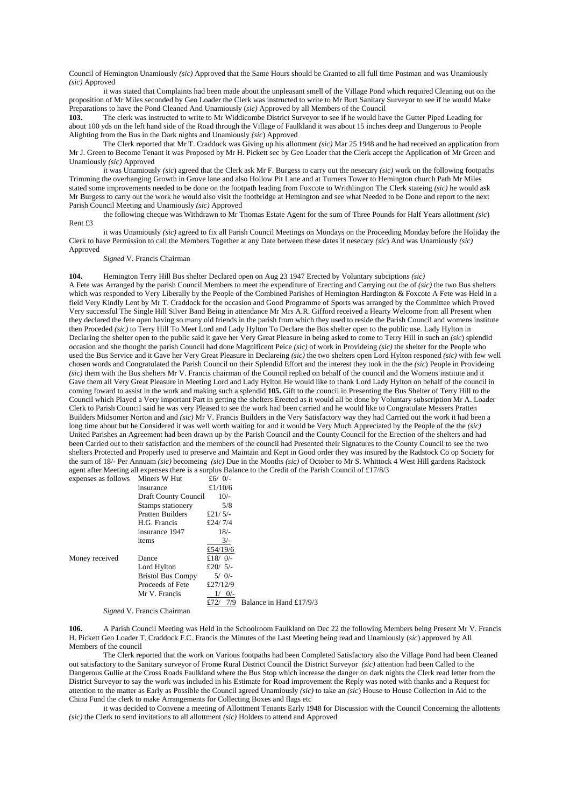Council of Hemington Unamiously *(sic)* Approved that the Same Hours should be Granted to all full time Postman and was Unamiously *(sic)* Approved

it was stated that Complaints had been made about the unpleasant smell of the Village Pond which required Cleaning out on the proposition of Mr Miles seconded by Geo Loader the Clerk was instructed to write to Mr Burt Sanitary Surveyor to see if he would Make Preparations to have the Pond Cleaned And Unamiously (*sic)* Approved by all Members of the Council

**103.** The clerk was instructed to write to Mr Widdicombe District Surveyor to see if he would have the Gutter Piped Leading for about 100 yds on the left hand side of the Road through the Village of Faulkland it was about 15 inches deep and Dangerous to People Alighting from the Bus in the Dark nights and Unamiously *(sic*) Approved

The Clerk reported that Mr T. Craddock was Giving up his allottment *(sic)* Mar 25 1948 and he had received an application from Mr J. Green to Become Tenant it was Proposed by Mr H. Pickett sec by Geo Loader that the Clerk accept the Application of Mr Green and Unamiously *(sic)* Approved

it was Unamiously *(sic*) agreed that the Clerk ask Mr F. Burgess to carry out the nesecary *(sic)* work on the following footpaths Trimming the overhanging Growth in Grove lane and also Hollow Pit Lane and at Turners Tower to Hemington church Path Mr Miles stated some improvements needed to be done on the footpath leading from Foxcote to Writhlington The Clerk stateing *(sic)* he would ask Mr Burgess to carry out the work he would also visit the footbridge at Hemington and see what Needed to be Done and report to the next Parish Council Meeting and Unamiously *(sic)* Approved

the following cheque was Withdrawn to Mr Thomas Estate Agent for the sum of Three Pounds for Half Years allottment *(sic*) Rent £3

it was Unamiously *(sic)* agreed to fix all Parish Council Meetings on Mondays on the Proceeding Monday before the Holiday the Clerk to have Permission to call the Members Together at any Date between these dates if nesecary *(sic*) And was Unamiously *(sic)* Approved

#### *Signed* V. Francis Chairman

**104.** Hemington Terry Hill Bus shelter Declared open on Aug 23 1947 Erected by Voluntary subciptions *(sic)*

A Fete was Arranged by the parish Council Members to meet the expenditure of Erecting and Carrying out the of *(sic)* the two Bus shelters which was responded to Very Liberally by the People of the Combined Parishes of Hemington Hardington & Foxcote A Fete was Held in a field Very Kindly Lent by Mr T. Craddock for the occasion and Good Programme of Sports was arranged by the Committee which Proved Very successful The Single Hill Silver Band Being in attendance Mr Mrs A.R. Gifford received a Hearty Welcome from all Present when they declared the fete open having so many old friends in the parish from which they used to reside the Parish Council and womens institute then Proceded *(sic)* to Terry Hill To Meet Lord and Lady Hylton To Declare the Bus shelter open to the public use. Lady Hylton in Declaring the shelter open to the public said it gave her Very Great Pleasure in being asked to come to Terry Hill in such an *(sic*) splendid occasion and she thought the parish Council had done Magnificent Peice *(sic)* of work in Provideing *(sic)* the shelter for the People who used the Bus Service and it Gave her Very Great Pleasure in Declareing *(sic)* the two shelters open Lord Hylton responed *(sic)* with few well chosen words and Congratulated the Parish Council on their Splendid Effort and the interest they took in the the *(sic*) People in Provideing *(sic)* them with the Bus shelters Mr V. Francis chairman of the Council replied on behalf of the council and the Womens institute and it Gave them all Very Great Pleasure in Meeting Lord and Lady Hylton He would like to thank Lord Lady Hylton on behalf of the council in coming foward to assist in the work and making such a splendid **105.** Gift to the council in Presenting the Bus Shelter of Terry Hill to the Council which Played a Very important Part in getting the shelters Erected as it would all be done by Voluntary subscription Mr A. Loader Clerk to Parish Council said he was very Pleased to see the work had been carried and he would like to Congratulate Messers Pratten Builders Midsomer Norton and and *(sic)* Mr V. Francis Builders in the Very Satisfactory way they had Carried out the work it had been a long time about but he Considered it was well worth waiting for and it would be Very Much Appreciated by the People of the the *(sic)* United Parishes an Agreement had been drawn up by the Parish Council and the County Council for the Erection of the shelters and had been Carried out to their satisfaction and the members of the council had Presented their Signatures to the County Council to see the two shelters Protected and Properly used to preserve and Maintain and Kept in Good order they was insured by the Radstock Co op Society for the sum of 18/- Per Annuam *(sic)* becomeing *(sic)* Due in the Months *(sic)* of October to Mr S. Whittock 4 West Hill gardens Radstock agent after Meeting all expenses there is a surplus Balance to the Credit of the Parish Council of £17/8/3<br>  $\frac{6}{17}$  and  $\frac{6}{17}$  and  $\frac{6}{17}$  and  $\frac{6}{17}$  and  $\frac{6}{17}$  and  $\frac{6}{17}$  and  $\frac{6}{17}$  and  $\frac{6}{17$ 

| expenses as ronows |                          | $\sim$ $\sigma$ |                         |
|--------------------|--------------------------|-----------------|-------------------------|
|                    | insurance                | £ $1/10/6$      |                         |
|                    | Draft County Council     | $10/-$          |                         |
|                    | Stamps stationery        | 5/8             |                         |
|                    | <b>Pratten Builders</b>  | £21/ $5/-$      |                         |
|                    | H.G. Francis             | £24/7/4         |                         |
|                    | insurance 1947           | $18/-$          |                         |
|                    | items                    | $3/-$           |                         |
|                    |                          | £54/19/6        |                         |
| Money received     | Dance                    | £18/ $0/-$      |                         |
|                    | Lord Hylton              | £20/ $5/-$      |                         |
|                    | <b>Bristol Bus Compy</b> | $5/0/-$         |                         |
|                    | Proceeds of Fete         | £27/12/9        |                         |
|                    | Mr V. Francis            | $0/-$<br>1/     |                         |
|                    |                          | 7/9             | Balance in Hand £17/9/3 |
|                    |                          |                 |                         |

*Signed* V. Francis Chairman

 $\sum_{k=1}^{\infty}$  Miners W Hut

**106.** A Parish Council Meeting was Held in the Schoolroom Faulkland on Dec 22 the following Members being Present Mr V. Francis H. Pickett Geo Loader T. Craddock F.C. Francis the Minutes of the Last Meeting being read and Unamiously (*sic*) approved by All Members of the council

The Clerk reported that the work on Various footpaths had been Completed Satisfactory also the Village Pond had been Cleaned out satisfactory to the Sanitary surveyor of Frome Rural District Council the District Surveyor *(sic)* attention had been Called to the Dangerous Gullie at the Cross Roads Faulkland where the Bus Stop which increase the danger on dark nights the Clerk read letter from the District Surveyor to say the work was included in his Estimate for Road improvement the Reply was noted with thanks and a Request for attention to the matter as Early as Possible the Council agreed Unamiously *(sic)* to take an *(sic*) House to House Collection in Aid to the China Fund the clerk to make Arrangements for Collecting Boxes and flags etc

it was decided to Convene a meeting of Allottment Tenants Early 1948 for Discussion with the Council Concerning the allottents *(sic)* the Clerk to send invitations to all allottment *(sic)* Holders to attend and Approved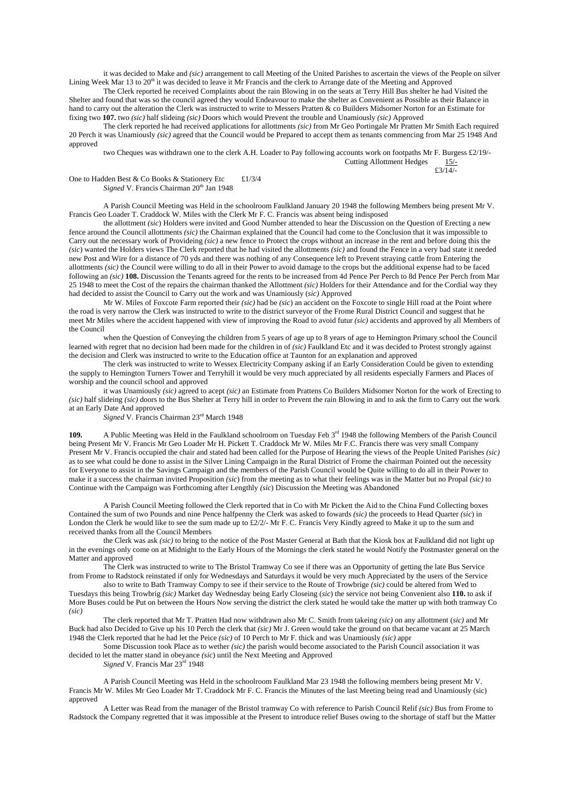it was decided to Make and *(sic)* arrangement to call Meeting of the United Parishes to ascertain the views of the People on silver Lining Week Mar 13 to 20<sup>th</sup> it was decided to leave it Mr Francis and the clerk to Arrange date of the Meeting and Approved

The Clerk reported he received Complaints about the rain Blowing in on the seats at Terry Hill Bus shelter he had Visited the Shelter and found that was so the council agreed they would Endeavour to make the shelter as Convenient as Possible as their Balance in hand to carry out the alteration the Clerk was instructed to write to Messers Pratten & co Builders Midsomer Norton for an Estimate for fixing two **107.** two *(sic)* half slideing *(sic)* Doors which would Prevent the trouble and Unamiously *(sic)* Approved

The clerk reported he had received applications for allottments *(sic)* from Mr Geo Portingale Mr Pratten Mr Smith Each required 20 Perch it was Unamiously *(sic)* agreed that the Council would be Prepared to accept them as tenants commencing from Mar 25 1948 And approved

two Cheques was withdrawn one to the clerk A.H. Loader to Pay following accounts work on footpaths Mr F. Burgess £2/19/- Cutting Allottment Hedges  $\pounds3/14/$ 

One to Hadden Best & Co Books & Stationery Etc £1/3/4 *Signed* V. Francis Chairman 20<sup>th</sup> Jan 1948

A Parish Council Meeting was Held in the schoolroom Faulkland January 20 1948 the following Members being present Mr V. Francis Geo Loader T. Craddock W. Miles with the Clerk Mr F. C. Francis was absent being indisposed

the allottment *(sic*) Holders were invited and Good Number attended to hear the Discussion on the Question of Erecting a new fence around the Council allottments *(sic)* the Chairman explained that the Council had come to the Conclusion that it was impossible to Carry out the necessary work of Provideing *(sic)* a new fence to Protect the crops without an increase in the rent and before doing this the *(sic*) wanted the Holders views The Clerk reported that he had visited the allottments *(sic)* and found the Fence in a very bad state it needed new Post and Wire for a distance of 70 yds and there was nothing of any Consequence left to Prevent straying cattle from Entering the allottments *(sic)* the Council were willing to do all in their Power to avoid damage to the crops but the additional expense had to be faced following an *(sic)* **108.** Discussion the Tenants agreed for the rents to be increased from 4d Pence Per Perch to 8d Pence Per Perch from Mar 25 1948 to meet the Cost of the repairs the chairman thanked the Allottment *(sic)* Holders for their Attendance and for the Cordial way they had decided to assist the Council to Carry out the work and was Unamiously (*sic)* Approved

Mr W. Miles of Foxcote Farm reported their *(sic)* had be *(sic*) an accident on the Foxcote to single Hill road at the Point where the road is very narrow the Clerk was instructed to write to the district surveyor of the Frome Rural District Council and suggest that he meet Mr Miles where the accident happened with view of improving the Road to avoid futur *(sic)* accidents and approved by all Members of the Council

when the Question of Conveying the children from 5 years of age up to 8 years of age to Hemington Primary school the Council learned with regret that no decision had been made for the children in of *(sic)* Faulkland Etc and it was decided to Protest strongly against the decision and Clerk was instructed to write to the Education office at Taunton for an explanation and approved

The clerk was instructed to write to Wessex Electricity Company asking if an Early Consideration Could be given to extending the supply to Hemington Turners Tower and Terryhill it would be very much appreciated by all residents especially Farmers and Places of worship and the council school and approved

it was Unamiously *(sic)* agreed to acept *(sic)* an Estimate from Prattens Co Builders Midsomer Norton for the work of Erecting to *(sic)* half slideing *(sic)* doors to the Bus Shelter at Terry hill in order to Prevent the rain Blowing in and to ask the firm to Carry out the work at an Early Date And approved

*Signed* V. Francis Chairman 23rd March 1948

**109.** A Public Meeting was Held in the Faulkland schoolroom on Tuesday Feb 3<sup>rd</sup> 1948 the following Members of the Parish Council being Present Mr V. Francis Mr Geo Loader Mr H. Pickett T. Craddock Mr W. Miles Mr F.C. Francis there was very small Company Present Mr V. Francis occupied the chair and stated had been called for the Purpose of Hearing the views of the People United Parishes *(sic)* as to see what could be done to assist in the Silver Lining Campaign in the Rural District of Frome the chairman Pointed out the necessity for Everyone to assist in the Savings Campaign and the members of the Parish Council would be Quite willing to do all in their Power to make it a success the chairman invited Proposition *(sic*) from the meeting as to what their feelings was in the Matter but no Propal *(sic)* to Continue with the Campaign was Forthcoming after Lengthly *(sic*) Discussion the Meeting was Abandoned

A Parish Council Meeting followed the Clerk reported that in Co with Mr Pickett the Aid to the China Fund Collecting boxes Contained the sum of two Pounds and nine Pence halfpenny the Clerk was asked to fowards *(sic)* the proceeds to Head Quarter *(sic*) in London the Clerk he would like to see the sum made up to £2/2/- Mr F. C. Francis Very Kindly agreed to Make it up to the sum and received thanks from all the Council Members

the Clerk was ask *(sic)* to bring to the notice of the Post Master General at Bath that the Kiosk box at Faulkland did not light up in the evenings only come on at Midnight to the Early Hours of the Mornings the clerk stated he would Notify the Postmaster general on the Matter and approved

The Clerk was instructed to write to The Bristol Tramway Co see if there was an Opportunity of getting the late Bus Service from Frome to Radstock reinstated if only for Wednesdays and Saturdays it would be very much Appreciated by the users of the Service

also to write to Bath Tramway Compy to see if their service to the Route of Trowbrige *(sic)* could be altered from Wed to Tuesdays this being Trowbrig *(sic)* Market day Wednesday being Early Closeing (*sic*) the service not being Convenient also **110.** to ask if More Buses could be Put on between the Hours Now serving the district the clerk stated he would take the matter up with both tramway Co *(sic)*

The clerk reported that Mr T. Pratten Had now withdrawn also Mr C. Smith from takeing *(sic)* on any allottment (*sic)* and Mr Buck had also Decided to Give up his 10 Perch the clerk that *(sic)* Mr J. Green would take the ground on that became vacant at 25 March 1948 the Clerk reported that he had let the Peice *(sic)* of 10 Perch to Mr F. thick and was Unamiously *(sic)* appr

Some Discussion took Place as to wether *(sic)* the parish would become associated to the Parish Council association it was decided to let the matter stand in obeyance *(sic*) until the Next Meeting and Approved

*Signed* V. Francis Mar 23rd 1948

A Parish Council Meeting was Held in the schoolroom Faulkland Mar 23 1948 the following members being present Mr V. Francis Mr W. Miles Mr Geo Loader Mr T. Craddock Mr F. C. Francis the Minutes of the last Meeting being read and Unamiously (sic) approved

A Letter was Read from the manager of the Bristol tramway Co with reference to Parish Council Relif *(sic)* Bus from Frome to Radstock the Company regretted that it was impossible at the Present to introduce relief Buses owing to the shortage of staff but the Matter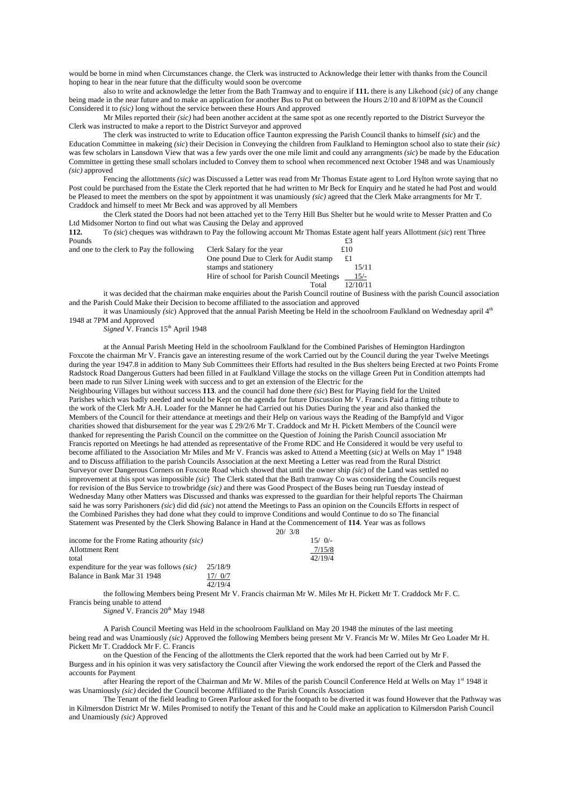would be borne in mind when Circumstances change. the Clerk was instructed to Acknowledge their letter with thanks from the Council hoping to hear in the near future that the difficulty would soon be overcome

also to write and acknowledge the letter from the Bath Tramway and to enquire if **111.** there is any Likehood (*sic)* of any change being made in the near future and to make an application for another Bus to Put on between the Hours 2/10 and 8/10PM as the Council Considered it to *(sic)* long without the service between these Hours And approved

Mr Miles reported their *(sic)* had been another accident at the same spot as one recently reported to the District Surveyor the Clerk was instructed to make a report to the District Surveyor and approved

The clerk was instructed to write to Education office Taunton expressing the Parish Council thanks to himself *(sic*) and the Education Committee in makeing *(sic*) their Decision in Conveying the children from Faulkland to Hemington school also to state their *(sic)* was few scholars in Lansdown View that was a few yards over the one mile limit and could any arrangments *(sic*) be made by the Education Committee in getting these small scholars included to Convey them to school when recommenced next October 1948 and was Unamiously *(sic)* approved

Fencing the allottments *(sic)* was Discussed a Letter was read from Mr Thomas Estate agent to Lord Hylton wrote saying that no Post could be purchased from the Estate the Clerk reported that he had written to Mr Beck for Enquiry and he stated he had Post and would be Pleased to meet the members on the spot by appointment it was unamiously *(sic)* agreed that the Clerk Make arrangments for Mr T. Craddock and himself to meet Mr Beck and was approved by all Members

the Clerk stated the Doors had not been attached yet to the Terry Hill Bus Shelter but he would write to Messer Pratten and Co Ltd Midsomer Norton to find out what was Causing the Delay and approved

**112.** To *(sic*) cheques was withdrawn to Pay the following account Mr Thomas Estate agent half years Allottment *(sic*) rent Three Pounds  $\epsilon$ 3 and one to the clerk to Pay the following Clerk Salary for the year  $\text{\pounds}10$ 

| and one to the clerk to I ay the following | CICIN SAIALY TOI THE VEAL                  | 22 I V   |
|--------------------------------------------|--------------------------------------------|----------|
|                                            | One pound Due to Clerk for Audit stamp     | £1       |
|                                            | stamps and stationery                      | 15/11    |
|                                            | Hire of school for Parish Council Meetings | $15/-$   |
|                                            | Total                                      | 12/10/11 |

it was decided that the chairman make enquiries about the Parish Council routine of Business with the parish Council association and the Parish Could Make their Decision to become affiliated to the association and approved

it was Unamiously *(sic)* Approved that the annual Parish Meeting be Held in the schoolroom Faulkland on Wednesday april 4<sup>th</sup> 1948 at 7PM and Approved

*Signed* V. Francis 15<sup>th</sup> April 1948

at the Annual Parish Meeting Held in the schoolroom Faulkland for the Combined Parishes of Hemington Hardington Foxcote the chairman Mr V. Francis gave an interesting resume of the work Carried out by the Council during the year Twelve Meetings during the year 1947.8 in addition to Many Sub Committees their Efforts had resulted in the Bus shelters being Erected at two Points Frome Radstock Road Dangerous Gutters had been filled in at Faulkland Village the stocks on the village Green Put in Condition attempts had been made to run Silver Lining week with success and to get an extension of the Electric for the Neighbouring Villages but without success **113**. and the council had done there *(sic*) Best for Playing field for the United Parishes which was badly needed and would be Kept on the agenda for future Discussion Mr V. Francis Paid a fitting tribute to the work of the Clerk Mr A.H. Loader for the Manner he had Carried out his Duties During the year and also thanked the Members of the Council for their attendance at meetings and their Help on various ways the Reading of the Bampfyld and Vigor charities showed that disbursement for the year was £ 29/2/6 Mr T. Craddock and Mr H. Pickett Members of the Council were thanked for representing the Parish Council on the committee on the Question of Joining the Parish Council association Mr Francis reported on Meetings he had attended as representative of the Frome RDC and He Considered it would be very useful to become affiliated to the Association Mr Miles and Mr V. Francis was asked to Attend a Meetting (*sic)* at Wells on May 1st 1948 and to Discuss affiliation to the parish Councils Association at the next Meeting a Letter was read from the Rural District Surveyor over Dangerous Corners on Foxcote Road which showed that until the owner ship *(sic*) of the Land was settled no improvement at this spot was impossible *(sic*) The Clerk stated that the Bath tramway Co was considering the Councils request for revision of the Bus Service to trowbridge *(sic)* and there was Good Prospect of the Buses being run Tuesday instead of Wednesday Many other Matters was Discussed and thanks was expressed to the guardian for their helpful reports The Chairman said he was sorry Parishoners *(sic*) did did *(sic*) not attend the Meetings to Pass an opinion on the Councils Efforts in respect of the Combined Parishes they had done what they could to improve Conditions and would Continue to do so The financial Statement was Presented by the Clerk Showing Balance in Hand at the Commencement of **114**. Year was as follows

| 20/ | 3/8 |
|-----|-----|
|     |     |

|                                                   |         | 20/3/8 |          |
|---------------------------------------------------|---------|--------|----------|
| income for the Frome Rating athourity (sic)       |         |        | $15/0/-$ |
| <b>Allottment Rent</b>                            |         |        | 7/15/8   |
| total                                             |         |        | 42/19/4  |
| expenditure for the year was follows <i>(sic)</i> | 25/18/9 |        |          |
| Balance in Bank Mar 31 1948                       | 17/0/7  |        |          |
|                                                   | 42/19/4 |        |          |

the following Members being Present Mr V. Francis chairman Mr W. Miles Mr H. Pickett Mr T. Craddock Mr F. C. Francis being unable to attend

*Signed* V. Francis 20<sup>th</sup> May 1948

A Parish Council Meeting was Held in the schoolroom Faulkland on May 20 1948 the minutes of the last meeting being read and was Unamiously *(sic)* Approved the following Members being present Mr V. Francis Mr W. Miles Mr Geo Loader Mr H. Pickett Mr T. Craddock Mr F. C. Francis

on the Question of the Fencing of the allottments the Clerk reported that the work had been Carried out by Mr F. Burgess and in his opinion it was very satisfactory the Council after Viewing the work endorsed the report of the Clerk and Passed the accounts for Payment

after Hearing the report of the Chairman and Mr W. Miles of the parish Council Conference Held at Wells on May 1st 1948 it was Unamiously *(sic)* decided the Council become Affiliated to the Parish Councils Association

The Tenant of the field leading to Green Parlour asked for the footpath to be diverted it was found However that the Pathway was in Kilmersdon District Mr W. Miles Promised to notify the Tenant of this and he Could make an application to Kilmersdon Parish Council and Unamiously *(sic)* Approved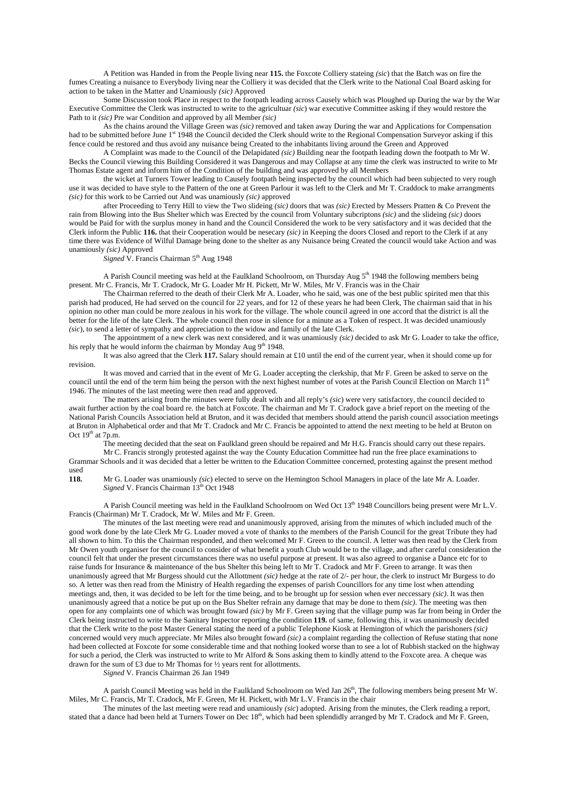A Petition was Handed in from the People living near **115.** the Foxcote Colliery stateing *(sic*) that the Batch was on fire the fumes Creating a nuisance to Everybody living near the Colliery it was decided that the Clerk write to the National Coal Board asking for action to be taken in the Matter and Unamiously *(sic)* Approved

Some Discussion took Place in respect to the footpath leading across Causely which was Ploughed up During the war by the War Executive Committee the Clerk was instructed to write to the agricultuar *(sic*) war executive Committee asking if they would restore the Path to it *(sic)* Pre war Condition and approved by all Member *(sic)*

As the chains around the Village Green was *(sic)* removed and taken away During the war and Applications for Compensation had to be submitted before June 1<sup>st</sup> 1948 the Council decided the Clerk should write to the Regional Compensation Surveyor asking if this fence could be restored and thus avoid any nuisance being Created to the inhabitants living around the Green and Approved

A Complaint was made to the Council of the Delapidated *(sic)* Building near the footpath leading down the footpath to Mr W. Becks the Council viewing this Building Considered it was Dangerous and may Collapse at any time the clerk was instructed to write to Mr Thomas Estate agent and inform him of the Condition of the building and was approved by all Members

the wicket at Turners Tower leading to Causely footpath being inspected by the council which had been subjected to very rough use it was decided to have style to the Pattern of the one at Green Parlour it was left to the Clerk and Mr T. Craddock to make arrangments *(sic)* for this work to be Carried out And was unamiously *(sic)* approved

after Proceeding to Terry Hill to view the Two slideing *(sic)* doors that was *(sic)* Erected by Messers Pratten & Co Prevent the rain from Blowing into the Bus Shelter which was Erected by the council from Voluntary subcriptons *(sic)* and the slideing *(sic)* doors would be Paid for with the surplus money in hand and the Council Considered the work to be very satisfactory and it was decided that the Clerk inform the Public **116.** that their Cooperation would be nesecary *(sic)* in Keeping the doors Closed and report to the Clerk if at any time there was Evidence of Wilful Damage being done to the shelter as any Nuisance being Created the council would take Action and was unamiously *(sic)* Approved

*Signed* V. Francis Chairman 5<sup>th</sup> Aug 1948

A Parish Council meeting was held at the Faulkland Schoolroom, on Thursday Aug 5<sup>th</sup> 1948 the following members being present. Mr C. Francis, Mr T. Cradock, Mr G. Loader Mr H. Pickett, Mr W. Miles, Mr V. Francis was in the Chair

The Chairman referred to the death of their Clerk Mr A. Loader, who he said, was one of the best public spirited men that this parish had produced, He had served on the council for 22 years, and for 12 of these years he had been Clerk, The chairman said that in his opinion no other man could be more zealous in his work for the village. The whole council agreed in one accord that the district is all the better for the life of the late Clerk. The whole council then rose in silence for a minute as a Token of respect. It was decided unamiously *(sic*), to send a letter of sympathy and appreciation to the widow and family of the late Clerk.

The appointment of a new clerk was next considered, and it was unamiously *(sic)* decided to ask Mr G. Loader to take the office, his reply that he would inform the chairman by Monday Aug  $9<sup>th</sup>$  1948.

It was also agreed that the Clerk **117.** Salary should remain at £10 until the end of the current year, when it should come up for revision.

It was moved and carried that in the event of Mr G. Loader accepting the clerkship, that Mr F. Green be asked to serve on the council until the end of the term him being the person with the next highest number of votes at the Parish Council Election on March  $11<sup>d</sup>$ 1946. The minutes of the last meeting were then read and approved.

The matters arising from the minutes were fully dealt with and all reply's *(sic*) were very satisfactory, the council decided to await further action by the coal board re. the batch at Foxcote. The chairman and Mr T. Cradock gave a brief report on the meeting of the National Parish Councils Association held at Bruton, and it was decided that members should attend the parish council association meetings at Bruton in Alphabetical order and that Mr T. Cradock and Mr C. Francis be appointed to attend the next meeting to be held at Bruton on Oct  $19<sup>th</sup>$  at  $7p.m.$ 

The meeting decided that the seat on Faulkland green should be repaired and Mr H.G. Francis should carry out these repairs. Mr C. Francis strongly protested against the way the County Education Committee had run the free place examinations to

Grammar Schools and it was decided that a letter be written to the Education Committee concerned, protesting against the present method used<br>118.

**118.** Mr G. Loader was unamiously *(sic*) elected to serve on the Hemington School Managers in place of the late Mr A. Loader. *Signed* V. Francis Chairman 13<sup>th</sup> Oct 1948

A Parish Council meeting was held in the Faulkland Schoolroom on Wed Oct 13<sup>th</sup> 1948 Councillors being present were Mr L.V. Francis (Chairman) Mr T. Cradock, Mr W. Miles and Mr F. Green.

The minutes of the last meeting were read and unanimously approved, arising from the minutes of which included much of the good work done by the late Clerk Mr G. Loader moved a vote of thanks to the members of the Parish Council for the great Tribute they had all shown to him. To this the Chairman responded, and then welcomed Mr F. Green to the council. A letter was then read by the Clerk from Mr Owen youth organiser for the council to consider of what benefit a youth Club would be to the village, and after careful consideration the council felt that under the present circumstances there was no useful purpose at present. It was also agreed to organise a Dance etc for to raise funds for Insurance & maintenance of the bus Shelter this being left to Mr T. Cradock and Mr F. Green to arrange. It was then unanimously agreed that Mr Burgess should cut the Allottment *(sic)* hedge at the rate of 2/- per hour, the clerk to instruct Mr Burgess to do so. A letter was then read from the Ministry of Health regarding the expenses of parish Councillors for any time lost when attending meetings and, then, it was decided to be left for the time being, and to be brought up for session when ever neccessary *(sic).* It was then unanimously agreed that a notice be put up on the Bus Shelter refrain any damage that may be done to them *(sic).* The meeting was then open for any complaints one of which was brought foward *(sic)* by Mr F. Green saying that the village pump was far from being in Order the Clerk being instructed to write to the Sanitary Inspector reporting the condition **119.** of same, following this, it was unanimously decided that the Clerk write to the post Master General stating the need of a public Telephone Kiosk at Hemington of which the parishoners *(sic)* concerned would very much appreciate. Mr Miles also brought foward *(sic)* a complaint regarding the collection of Refuse stating that none had been collected at Foxcote for some considerable time and that nothing looked worse than to see a lot of Rubbish stacked on the highway for such a period, the Clerk was instructed to write to Mr Alford & Sons asking them to kindly attend to the Foxcote area. A cheque was drawn for the sum of £3 due to Mr Thomas for ½ years rent for allottments.

*Signed* V. Francis Chairman 26 Jan 1949

A parish Council Meeting was held in the Faulkland Schoolroom on Wed Jan  $26<sup>th</sup>$ , The following members being present Mr W. Miles, Mr C. Francis, Mr T. Cradock, Mr F. Green, Mr H. Pickett, with Mr L.V. Francis in the chair

The minutes of the last meeting were read and unamiously *(sic*) adopted. Arising from the minutes, the Clerk reading a report, stated that a dance had been held at Turners Tower on Dec 18<sup>th</sup>, which had been splendidly arranged by Mr T. Cradock and Mr F. Green,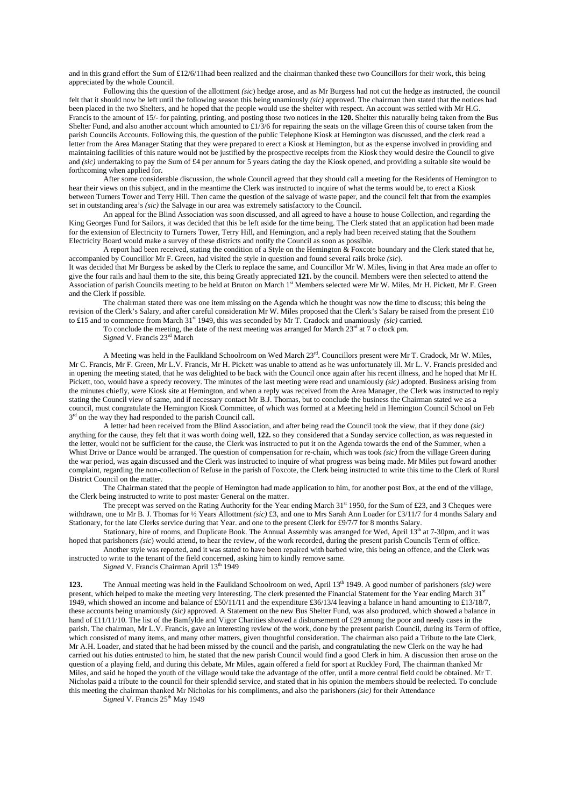and in this grand effort the Sum of £12/6/11had been realized and the chairman thanked these two Councillors for their work, this being appreciated by the whole Council.

Following this the question of the allottment *(sic*) hedge arose, and as Mr Burgess had not cut the hedge as instructed, the council felt that it should now be left until the following season this being unamiously *(sic)* approved. The chairman then stated that the notices had been placed in the two Shelters, and he hoped that the people would use the shelter with respect. An account was settled with Mr H.G. Francis to the amount of 15/- for painting, printing, and posting those two notices in the **120.** Shelter this naturally being taken from the Bus Shelter Fund, and also another account which amounted to £1/3/6 for repairing the seats on the village Green this of course taken from the parish Councils Accounts. Following this, the question of the public Telephone Kiosk at Hemington was discussed, and the clerk read a letter from the Area Manager Stating that they were prepared to erect a Kiosk at Hemington, but as the expense involved in providing and maintaining facilities of this nature would not be justified by the prospective receipts from the Kiosk they would desire the Council to give and *(sic)* undertaking to pay the Sum of £4 per annum for 5 years dating the day the Kiosk opened, and providing a suitable site would be forthcoming when applied for.

After some considerable discussion, the whole Council agreed that they should call a meeting for the Residents of Hemington to hear their views on this subject, and in the meantime the Clerk was instructed to inquire of what the terms would be, to erect a Kiosk between Turners Tower and Terry Hill. Then came the question of the salvage of waste paper, and the council felt that from the examples set in outstanding area's *(sic)* the Salvage in our area was extremely satisfactory to the Council.

An appeal for the Blind Association was soon discussed, and all agreed to have a house to house Collection, and regarding the King Georges Fund for Sailors, it was decided that this be left aside for the time being. The Clerk stated that an application had been made for the extension of Electricity to Turners Tower, Terry Hill, and Hemington, and a reply had been received stating that the Southern Electricity Board would make a survey of these districts and notify the Council as soon as possible.

A report had been received, stating the condition of a Style on the Hemington  $\&$  Foxcote boundary and the Clerk stated that he, accompanied by Councillor Mr F. Green, had visited the style in question and found several rails broke *(sic*).

It was decided that Mr Burgess be asked by the Clerk to replace the same, and Councillor Mr W. Miles, living in that Area made an offer to give the four rails and haul them to the site, this being Greatly appreciated **121.** by the council. Members were then selected to attend the Association of parish Councils meeting to be held at Bruton on March 1<sup>st</sup> Members selected were Mr W. Miles, Mr H. Pickett, Mr F. Green and the Clerk if possible.

The chairman stated there was one item missing on the Agenda which he thought was now the time to discuss; this being the revision of the Clerk's Salary, and after careful consideration Mr W. Miles proposed that the Clerk's Salary be raised from the present £10 to £15 and to commence from March  $31<sup>st</sup>$  1949, this was seconded by Mr T. Cradock and unamiously *(sic)* carried.

To conclude the meeting, the date of the next meeting was arranged for March  $23<sup>rd</sup>$  at 7 o clock pm.

Signed V. Francis 23<sup>rd</sup> March

A Meeting was held in the Faulkland Schoolroom on Wed March 23rd. Councillors present were Mr T. Cradock, Mr W. Miles, Mr C. Francis, Mr F. Green, Mr L.V. Francis, Mr H. Pickett was unable to attend as he was unfortunately ill. Mr L. V. Francis presided and in opening the meeting stated, that he was delighted to be back with the Council once again after his recent illness, and he hoped that Mr H. Pickett, too, would have a speedy recovery. The minutes of the last meeting were read and unamiously *(sic)* adopted. Business arising from the minutes chiefly, were Kiosk site at Hemington, and when a reply was received from the Area Manager, the Clerk was instructed to reply stating the Council view of same, and if necessary contact Mr B.J. Thomas, but to conclude the business the Chairman stated we as a council, must congratulate the Hemington Kiosk Committee, of which was formed at a Meeting held in Hemington Council School on Feb  $3<sup>rd</sup>$  on the way they had responded to the parish Council call.

A letter had been received from the Blind Association, and after being read the Council took the view, that if they done *(sic)* anything for the cause, they felt that it was worth doing well, **122.** so they considered that a Sunday service collection, as was requested in the letter, would not be sufficient for the cause, the Clerk was instructed to put it on the Agenda towards the end of the Summer, when a Whist Drive or Dance would be arranged. The question of compensation for re-chain, which was took *(sic)* from the village Green during the war period, was again discussed and the Clerk was instructed to inquire of what progress was being made. Mr Miles put foward another complaint, regarding the non-collection of Refuse in the parish of Foxcote, the Clerk being instructed to write this time to the Clerk of Rural District Council on the matter.

The Chairman stated that the people of Hemington had made application to him, for another post Box, at the end of the village, the Clerk being instructed to write to post master General on the matter.

The precept was served on the Rating Authority for the Year ending March 31st 1950, for the Sum of £23, and 3 Cheques were withdrawn, one to Mr B. J. Thomas for 1/2 Years Allottment *(sic)* £3, and one to Mrs Sarah Ann Loader for £3/11/7 for 4 months Salary and Stationary, for the late Clerks service during that Year. and one to the present Clerk for £9/7/7 for 8 months Salary.

Stationary, hire of rooms, and Duplicate Book. The Annual Assembly was arranged for Wed, April  $13<sup>th</sup>$  at 7-30pm, and it was hoped that parishoners *(sic*) would attend, to hear the review, of the work recorded, during the present parish Councils Term of office. Another style was reported, and it was stated to have been repaired with barbed wire, this being an offence, and the Clerk was

instructed to write to the tenant of the field concerned, asking him to kindly remove same.

*Signed* V. Francis Chairman April 13<sup>th</sup> 1949

**123.** The Annual meeting was held in the Faulkland Schoolroom on wed, April 13<sup>th</sup> 1949. A good number of parishoners *(sic)* were present, which helped to make the meeting very Interesting. The clerk presented the Financial Statement for the Year ending March 31st 1949, which showed an income and balance of £50/11/11 and the expenditure £36/13/4 leaving a balance in hand amounting to £13/18/7, these accounts being unamiously *(sic)* approved. A Statement on the new Bus Shelter Fund, was also produced, which showed a balance in hand of £11/11/10. The list of the Bamfylde and Vigor Charities showed a disbursement of £29 among the poor and needy cases in the parish. The chairman, Mr L.V. Francis, gave an interesting review of the work, done by the present parish Council, during its Term of office, which consisted of many items, and many other matters, given thoughtful consideration. The chairman also paid a Tribute to the late Clerk, Mr A.H. Loader, and stated that he had been missed by the council and the parish, and congratulating the new Clerk on the way he had carried out his duties entrusted to him, he stated that the new parish Council would find a good Clerk in him. A discussion then arose on the question of a playing field, and during this debate, Mr Miles, again offered a field for sport at Ruckley Ford, The chairman thanked Mr Miles, and said he hoped the youth of the village would take the advantage of the offer, until a more central field could be obtained. Mr T. Nicholas paid a tribute to the council for their splendid service, and stated that in his opinion the members should be reelected. To conclude this meeting the chairman thanked Mr Nicholas for his compliments, and also the parishoners *(sic)* for their Attendance

*Signed* V. Francis 25<sup>th</sup> May 1949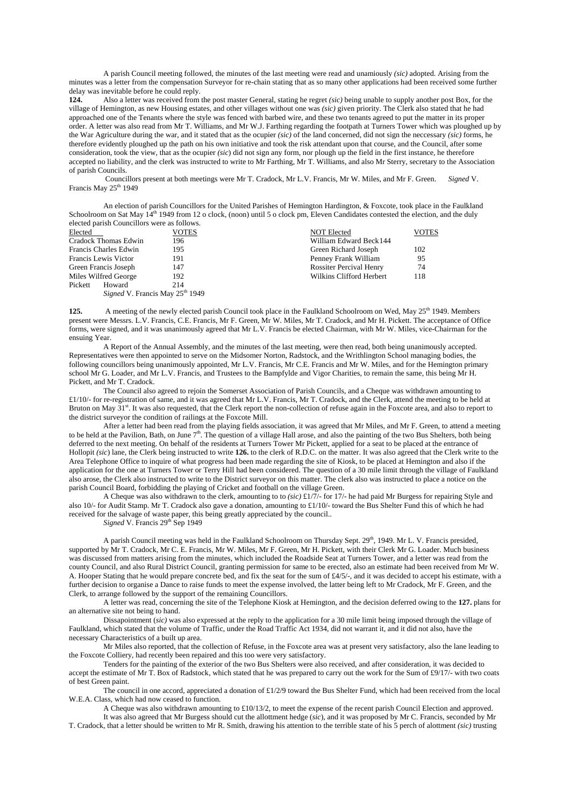A parish Council meeting followed, the minutes of the last meeting were read and unamiously *(sic)* adopted. Arising from the minutes was a letter from the compensation Surveyor for re-chain stating that as so many other applications had been received some further delay was inevitable before he could reply.<br>124. Also a letter was received from

**124.** Also a letter was received from the post master General, stating he regret *(sic)* being unable to supply another post Box, for the village of Hemington, as new Housing estates, and other villages without one was *(sic)* given priority. The Clerk also stated that he had approached one of the Tenants where the style was fenced with barbed wire, and these two tenants agreed to put the matter in its proper order. A letter was also read from Mr T. Williams, and Mr W.J. Farthing regarding the footpath at Turners Tower which was ploughed up by the War Agriculture during the war, and it stated that as the ocupier *(sic)* of the land concerned, did not sign the neccessary *(sic)* forms, he therefore evidently ploughed up the path on his own initiative and took the risk attendant upon that course, and the Council, after some consideration, took the view, that as the ocupier *(sic*) did not sign any form, nor plough up the field in the first instance, he therefore accepted no liability, and the clerk was instructed to write to Mr Farthing, Mr T. Williams, and also Mr Sterry, secretary to the Association of parish Councils.

 Councillors present at both meetings were Mr T. Cradock, Mr L.V. Francis, Mr W. Miles, and Mr F. Green. *Signed* V. Francis May 25<sup>th</sup> 1949

An election of parish Councillors for the United Parishes of Hemington Hardington, & Foxcote, took place in the Faulkland Schoolroom on Sat May 14<sup>th</sup> 1949 from 12 o clock, (noon) until 5 o clock pm, Eleven Candidates contested the election, and the duly elected parish Councillors were as follows.

| Elected               | <b>VOTES</b>                                | <b>NOT Elected</b>             | VOTES |
|-----------------------|---------------------------------------------|--------------------------------|-------|
| Cradock Thomas Edwin  | 196                                         | William Edward Beck 144        |       |
| Francis Charles Edwin | 195                                         | Green Richard Joseph           | 102   |
| Francis Lewis Victor  | 191                                         | Penney Frank William           | 95    |
| Green Francis Joseph  | 147                                         | <b>Rossiter Percival Henry</b> | 74    |
| Miles Wilfred George  | 192                                         | Wilkins Clifford Herbert       | 118   |
| Pickett<br>Howard     | 214                                         |                                |       |
|                       | Signed V. Francis May 25 <sup>th</sup> 1949 |                                |       |

**125.** A meeting of the newly elected parish Council took place in the Faulkland Schoolroom on Wed, May 25<sup>th</sup> 1949. Members present were Messrs. L.V. Francis, C.E. Francis, Mr F. Green, Mr W. Miles, Mr T. Cradock, and Mr H. Pickett. The acceptance of Office forms, were signed, and it was unanimously agreed that Mr L.V. Francis be elected Chairman, with Mr W. Miles, vice-Chairman for the ensuing Year.

A Report of the Annual Assembly, and the minutes of the last meeting, were then read, both being unanimously accepted. Representatives were then appointed to serve on the Midsomer Norton, Radstock, and the Writhlington School managing bodies, the following councillors being unanimously appointed, Mr L.V. Francis, Mr C.E. Francis and Mr W. Miles, and for the Hemington primary school Mr G. Loader, and Mr L.V. Francis, and Trustees to the Bampfylde and Vigor Charities, to remain the same, this being Mr H. Pickett, and Mr T. Cradock.

The Council also agreed to rejoin the Somerset Association of Parish Councils, and a Cheque was withdrawn amounting to £1/10/- for re-registration of same, and it was agreed that Mr L.V. Francis, Mr T. Cradock, and the Clerk, attend the meeting to be held at Bruton on May 31<sup>st</sup>. It was also requested, that the Clerk report the non-collection of refuse again in the Foxcote area, and also to report to the district surveyor the condition of railings at the Foxcote Mill.

After a letter had been read from the playing fields association, it was agreed that Mr Miles, and Mr F. Green, to attend a meeting to be held at the Pavilion, Bath, on June  $7<sup>th</sup>$ . The question of a village Hall arose, and also the painting of the two Bus Shelters, both being deferred to the next meeting. On behalf of the residents at Turners Tower Mr Pickett, applied for a seat to be placed at the entrance of Hollopit *(sic*) lane, the Clerk being instructed to write **126.** to the clerk of R.D.C. on the matter. It was also agreed that the Clerk write to the Area Telephone Office to inquire of what progress had been made regarding the site of Kiosk, to be placed at Hemington and also if the application for the one at Turners Tower or Terry Hill had been considered. The question of a 30 mile limit through the village of Faulkland also arose, the Clerk also instructed to write to the District surveyor on this matter. The clerk also was instructed to place a notice on the parish Council Board, forbidding the playing of Cricket and football on the village Green.

A Cheque was also withdrawn to the clerk, amounting to to *(sic)* £1/7/- for 17/- he had paid Mr Burgess for repairing Style and also 10/- for Audit Stamp. Mr T. Cradock also gave a donation, amounting to £1/10/- toward the Bus Shelter Fund this of which he had received for the salvage of waste paper, this being greatly appreciated by the council..

*Signed* V. Francis 29<sup>th</sup> Sep 1949

A parish Council meeting was held in the Faulkland Schoolroom on Thursday Sept. 29<sup>th</sup>, 1949. Mr L. V. Francis presided, supported by Mr T. Cradock, Mr C. E. Francis, Mr W. Miles, Mr F. Green, Mr H. Pickett, with their Clerk Mr G. Loader. Much business was discussed from matters arising from the minutes, which included the Roadside Seat at Turners Tower, and a letter was read from the county Council, and also Rural District Council, granting permission for same to be erected, also an estimate had been received from Mr W. A. Hooper Stating that he would prepare concrete bed, and fix the seat for the sum of £4/5/-, and it was decided to accept his estimate, with a further decision to organise a Dance to raise funds to meet the expense involved, the latter being left to Mr Cradock, Mr F. Green, and the Clerk, to arrange followed by the support of the remaining Councillors.

A letter was read, concerning the site of the Telephone Kiosk at Hemington, and the decision deferred owing to the **127.** plans for an alternative site not being to hand.

Dissapointment (*sic*) was also expressed at the reply to the application for a 30 mile limit being imposed through the village of Faulkland, which stated that the volume of Traffic, under the Road Traffic Act 1934, did not warrant it, and it did not also, have the necessary Characteristics of a built up area.

Mr Miles also reported, that the collection of Refuse, in the Foxcote area was at present very satisfactory, also the lane leading to the Foxcote Colliery, had recently been repaired and this too were very satisfactory.

Tenders for the painting of the exterior of the two Bus Shelters were also received, and after consideration, it was decided to accept the estimate of Mr T. Box of Radstock, which stated that he was prepared to carry out the work for the Sum of £9/17/- with two coats of best Green paint.

The council in one accord, appreciated a donation of  $£1/2/9$  toward the Bus Shelter Fund, which had been received from the local W.E.A. Class, which had now ceased to function.

A Cheque was also withdrawn amounting to  $\pounds 10/13/2$ , to meet the expense of the recent parish Council Election and approved.

It was also agreed that Mr Burgess should cut the allottment hedge (*sic*), and it was proposed by Mr C. Francis, seconded by Mr T. Cradock, that a letter should be written to Mr R. Smith, drawing his attention to the terrible state of his 5 perch of alottment *(sic)* trusting